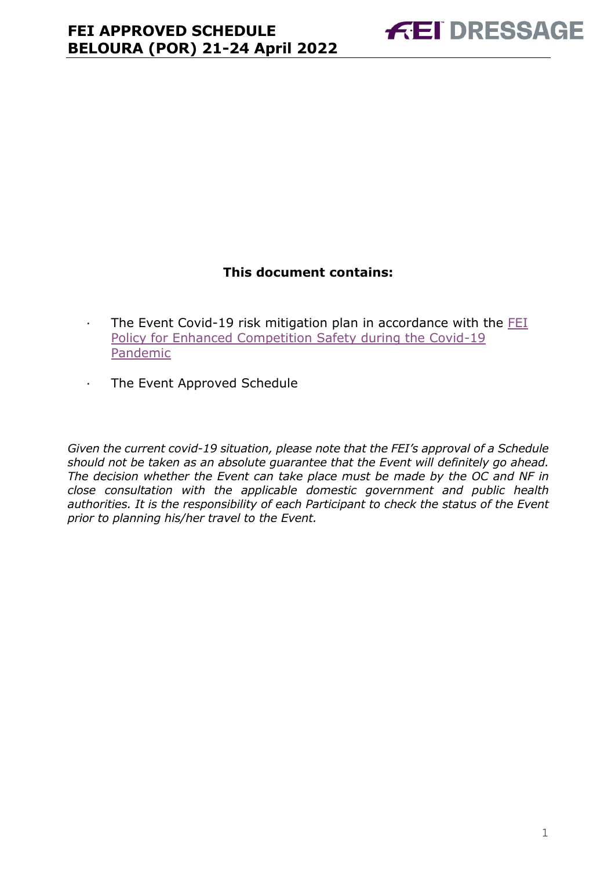### **This document contains:**

- <span id="page-0-0"></span>· The Event Covid-19 risk mitigation plan in accordance with the [FEI](https://inside.fei.org/fei/covid-19/return-to-play)  [Policy for Enhanced Competition Safety during the Covid-19](https://inside.fei.org/fei/covid-19/return-to-play)  [Pandemic](https://inside.fei.org/fei/covid-19/return-to-play)
- · The Event Approved Schedule

*Given the current covid-19 situation, please note that the FEI's approval of a Schedule should not be taken as an absolute guarantee that the Event will definitely go ahead. The decision whether the Event can take place must be made by the OC and NF in close consultation with the applicable domestic government and public health authorities. It is the responsibility of each Participant to check the status of the Event prior to planning his/her travel to the Event.*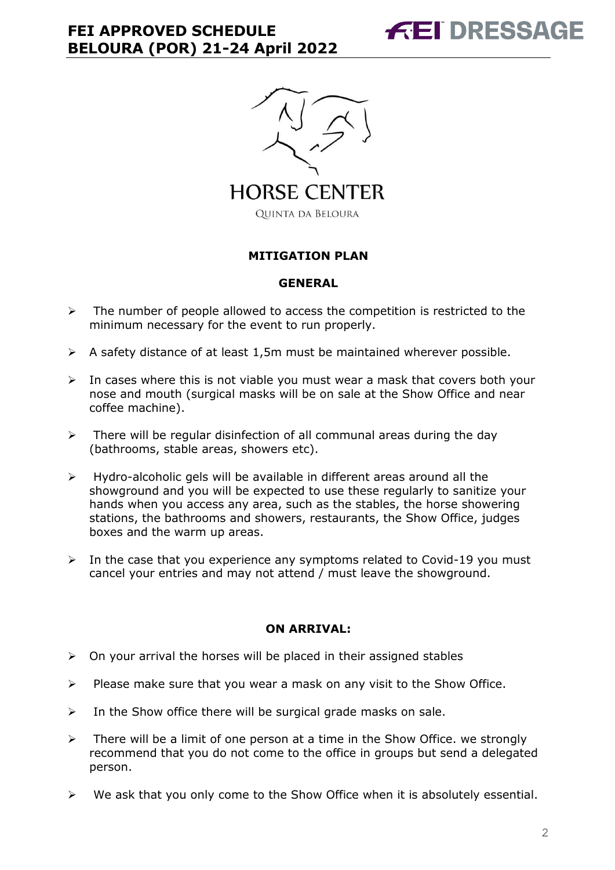



#### **MITIGATION PLAN**

#### **GENERAL**

- $\triangleright$  The number of people allowed to access the competition is restricted to the minimum necessary for the event to run properly.
- $\triangleright$  A safety distance of at least 1,5m must be maintained wherever possible.
- $\triangleright$  In cases where this is not viable you must wear a mask that covers both your nose and mouth (surgical masks will be on sale at the Show Office and near coffee machine).
- $\triangleright$  There will be regular disinfection of all communal areas during the day (bathrooms, stable areas, showers etc).
- $\triangleright$  Hydro-alcoholic gels will be available in different areas around all the showground and you will be expected to use these regularly to sanitize your hands when you access any area, such as the stables, the horse showering stations, the bathrooms and showers, restaurants, the Show Office, judges boxes and the warm up areas.
- $\triangleright$  In the case that you experience any symptoms related to Covid-19 you must cancel your entries and may not attend / must leave the showground.

#### **ON ARRIVAL:**

- $\triangleright$  On your arrival the horses will be placed in their assigned stables
- $\triangleright$  Please make sure that you wear a mask on any visit to the Show Office.
- $\triangleright$  In the Show office there will be surgical grade masks on sale.
- $\triangleright$  There will be a limit of one person at a time in the Show Office. we strongly recommend that you do not come to the office in groups but send a delegated person.
- $\triangleright$  We ask that you only come to the Show Office when it is absolutely essential.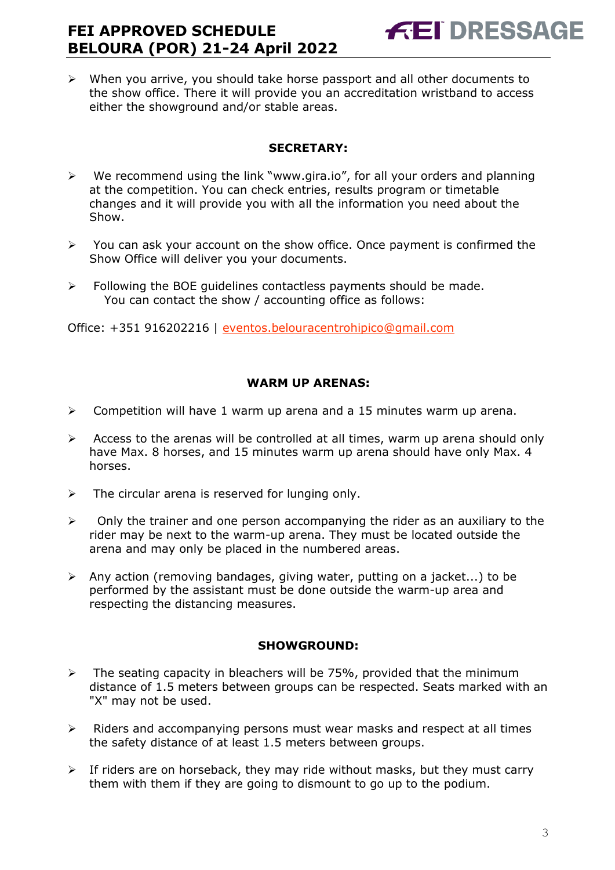$\triangleright$  When you arrive, you should take horse passport and all other documents to the show office. There it will provide you an accreditation wristband to access either the showground and/or stable areas.

### **SECRETARY:**

- $\triangleright$  We recommend using the link "www.gira.io", for all your orders and planning at the competition. You can check entries, results program or timetable changes and it will provide you with all the information you need about the Show.
- $\triangleright$  You can ask your account on the show office. Once payment is confirmed the Show Office will deliver you your documents.
- $\triangleright$  Following the BOE quidelines contactless payments should be made. You can contact the show / accounting office as follows:

Office: +351 916202216 | [eventos.belouracentrohipico@gmail.com](mailto:eventos.belouracentrohipico@gmail.com)

### **WARM UP ARENAS:**

- $\triangleright$  Competition will have 1 warm up arena and a 15 minutes warm up arena.
- $\triangleright$  Access to the arenas will be controlled at all times, warm up arena should only have Max. 8 horses, and 15 minutes warm up arena should have only Max. 4 horses.
- $\triangleright$  The circular arena is reserved for lunging only.
- $\triangleright$  Only the trainer and one person accompanying the rider as an auxiliary to the rider may be next to the warm-up arena. They must be located outside the arena and may only be placed in the numbered areas.
- $\triangleright$  Any action (removing bandages, giving water, putting on a jacket...) to be performed by the assistant must be done outside the warm-up area and respecting the distancing measures.

### **SHOWGROUND:**

- $\triangleright$  The seating capacity in bleachers will be 75%, provided that the minimum distance of 1.5 meters between groups can be respected. Seats marked with an "X" may not be used.
- $\triangleright$  Riders and accompanying persons must wear masks and respect at all times the safety distance of at least 1.5 meters between groups.
- $\triangleright$  If riders are on horseback, they may ride without masks, but they must carry them with them if they are going to dismount to go up to the podium.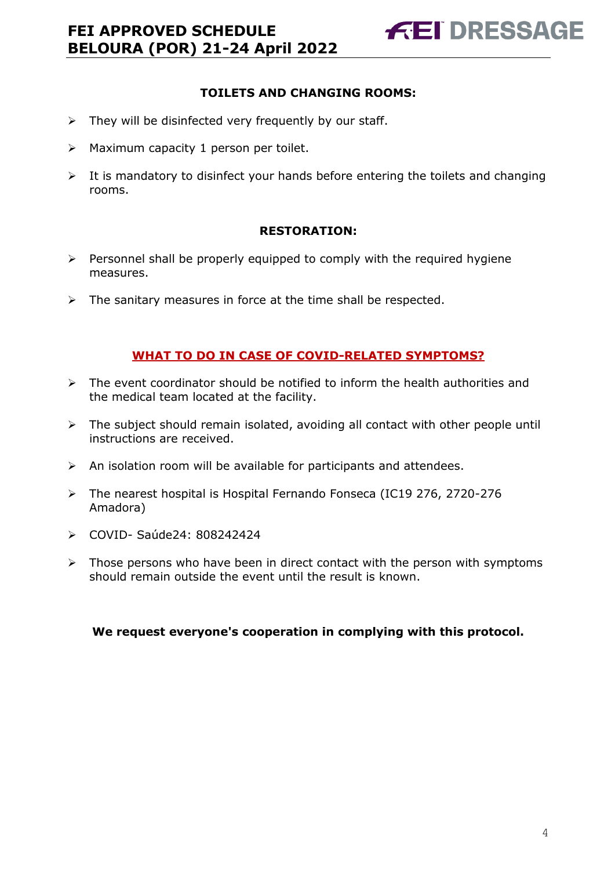### **TOILETS AND CHANGING ROOMS:**

- $\triangleright$  They will be disinfected very frequently by our staff.
- $\triangleright$  Maximum capacity 1 person per toilet.
- $\triangleright$  It is mandatory to disinfect your hands before entering the toilets and changing rooms.

#### **RESTORATION:**

- $\triangleright$  Personnel shall be properly equipped to comply with the required hygiene measures.
- $\triangleright$  The sanitary measures in force at the time shall be respected.

#### **WHAT TO DO IN CASE OF COVID-RELATED SYMPTOMS?**

- $\triangleright$  The event coordinator should be notified to inform the health authorities and the medical team located at the facility.
- $\triangleright$  The subject should remain isolated, avoiding all contact with other people until instructions are received.
- $\triangleright$  An isolation room will be available for participants and attendees.
- The nearest hospital is Hospital Fernando Fonseca (IC19 276, 2720-276 Amadora)
- COVID- Saúde24: 808242424
- $\triangleright$  Those persons who have been in direct contact with the person with symptoms should remain outside the event until the result is known.

**We request everyone's cooperation in complying with this protocol.**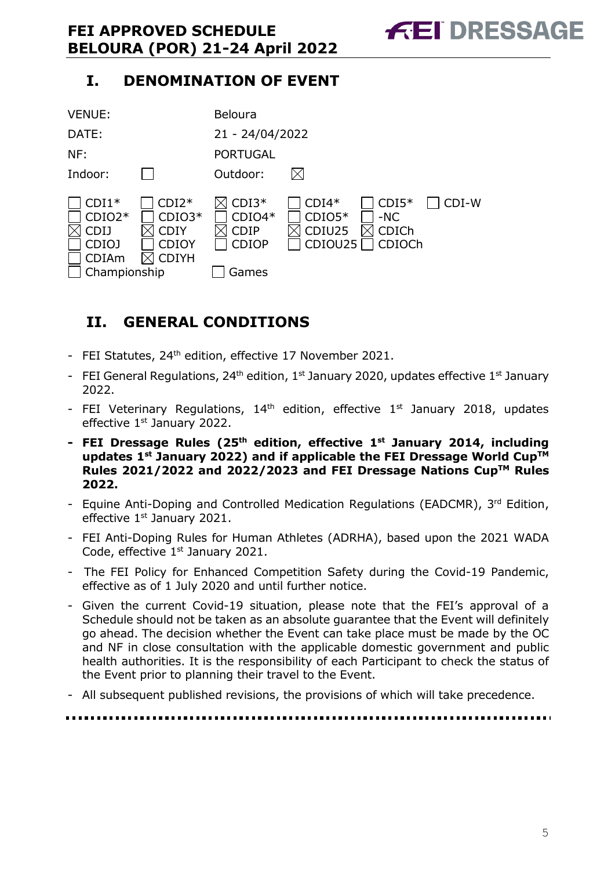# **I. DENOMINATION OF EVENT**



# <span id="page-4-0"></span>**II. GENERAL CONDITIONS**

- FEI Statutes, 24<sup>th</sup> edition, effective 17 November 2021.
- FEI General Regulations,  $24<sup>th</sup>$  edition,  $1<sup>st</sup>$  January 2020, updates effective  $1<sup>st</sup>$  January 2022.
- FEI Veterinary Regulations,  $14<sup>th</sup>$  edition, effective  $1<sup>st</sup>$  January 2018, updates effective 1<sup>st</sup> January 2022.
- **- FEI Dressage Rules (25th edition, effective 1st January 2014, including updates 1st January 2022) and if applicable the FEI Dressage World CupTM Rules 2021/2022 and 2022/2023 and FEI Dressage Nations CupTM Rules 2022.**
- Equine Anti-Doping and Controlled Medication Regulations (EADCMR), 3rd Edition, effective 1<sup>st</sup> January 2021.
- FEI Anti-Doping Rules for Human Athletes (ADRHA), based upon the 2021 WADA Code, effective 1<sup>st</sup> January 2021.
- The FEI Policy for Enhanced Competition Safety during the Covid-19 Pandemic, effective as of 1 July 2020 and until further notice.
- Given the current Covid-19 situation, please note that the FEI's approval of a Schedule should not be taken as an absolute guarantee that the Event will definitely go ahead. The decision whether the Event can take place must be made by the OC and NF in close consultation with the applicable domestic government and public health authorities. It is the responsibility of each Participant to check the status of the Event prior to planning their travel to the Event.
- All subsequent published revisions, the provisions of which will take precedence.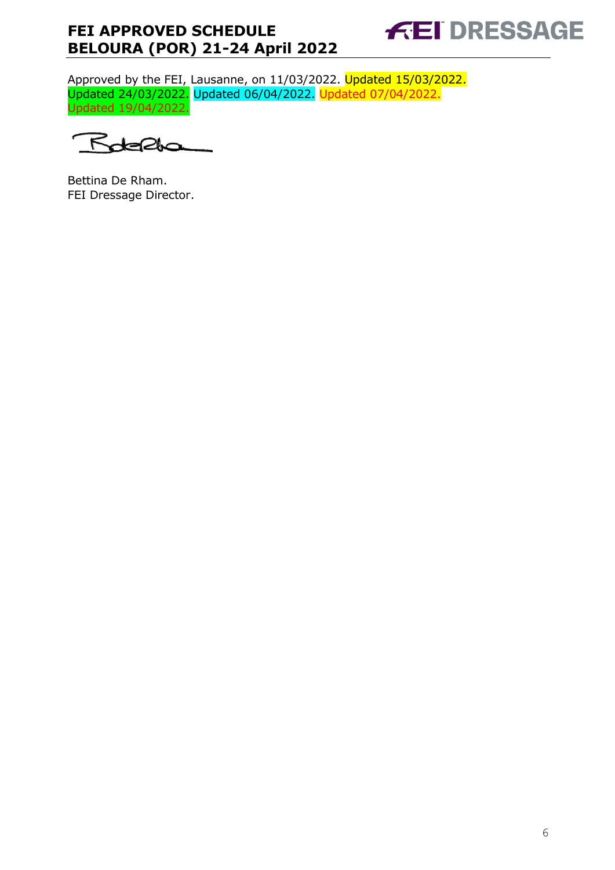

Approved by the FEI, Lausanne, on 11/03/2022. Updated 15/03/2022. Updated 24/03/2022. Updated 06/04/2022. Updated 07/04/2022. Updated 19/04/2022.

Rotella

Bettina De Rham. FEI Dressage Director.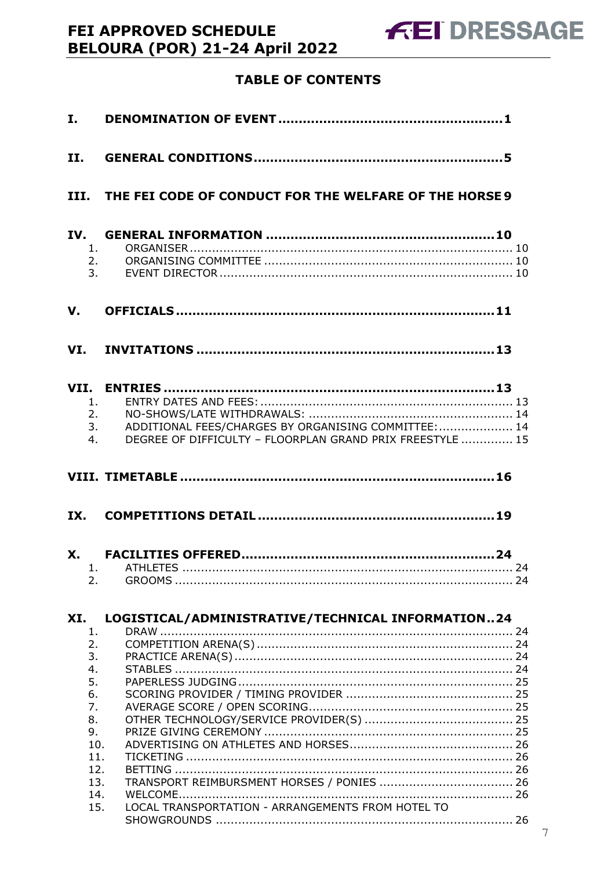# **TABLE OF CONTENTS**

| $\mathbf{I}$ . |                                                                                                                                                   |  |
|----------------|---------------------------------------------------------------------------------------------------------------------------------------------------|--|
| II.            |                                                                                                                                                   |  |
|                | III. THE FEI CODE OF CONDUCT FOR THE WELFARE OF THE HORSE 9                                                                                       |  |
| IV.            | 1.<br>2.<br>3.                                                                                                                                    |  |
| V.             |                                                                                                                                                   |  |
|                |                                                                                                                                                   |  |
|                | 1.<br>2.<br>ADDITIONAL FEES/CHARGES BY ORGANISING COMMITTEE:  14<br>3.<br>DEGREE OF DIFFICULTY - FLOORPLAN GRAND PRIX FREESTYLE  15<br>4.         |  |
|                |                                                                                                                                                   |  |
| IX.            |                                                                                                                                                   |  |
|                |                                                                                                                                                   |  |
|                | 2.                                                                                                                                                |  |
| XI.            | LOGISTICAL/ADMINISTRATIVE/TECHNICAL INFORMATION24                                                                                                 |  |
|                | 1.<br>2.<br>3.<br>4.<br>5.<br>6.<br>7.<br>8.<br>9.<br>10.<br>11.<br>12.<br>13.<br>14.<br>LOCAL TRANSPORTATION - ARRANGEMENTS FROM HOTEL TO<br>15. |  |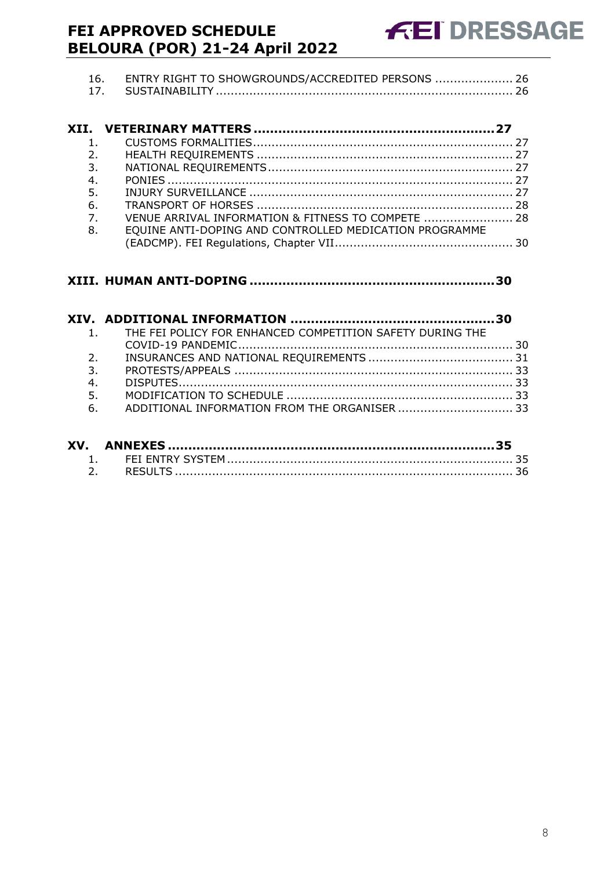| 16. ENTRY RIGHT TO SHOWGROUNDS/ACCREDITED PERSONS  26 |  |
|-------------------------------------------------------|--|
|                                                       |  |

| 2.               |                                                        |  |
|------------------|--------------------------------------------------------|--|
| 3.               |                                                        |  |
| 4.               |                                                        |  |
| 5.               |                                                        |  |
| 6.               |                                                        |  |
| $\overline{7}$ . | VENUE ARRIVAL INFORMATION & FITNESS TO COMPETE  28     |  |
| 8.               | EQUINE ANTI-DOPING AND CONTROLLED MEDICATION PROGRAMME |  |
|                  |                                                        |  |

### **XIII. HUMAN ANTI-DOPING [............................................................30](#page-29-1)**

|                | 1. THE FEI POLICY FOR ENHANCED COMPETITION SAFETY DURING THE |  |
|----------------|--------------------------------------------------------------|--|
|                |                                                              |  |
| 2 <sub>1</sub> |                                                              |  |
| 3.             |                                                              |  |
| 4.             |                                                              |  |
| 5.             |                                                              |  |
|                | 6. ADDITIONAL INFORMATION FROM THE ORGANISER  33             |  |
|                |                                                              |  |

| XV. |  |
|-----|--|
|     |  |
|     |  |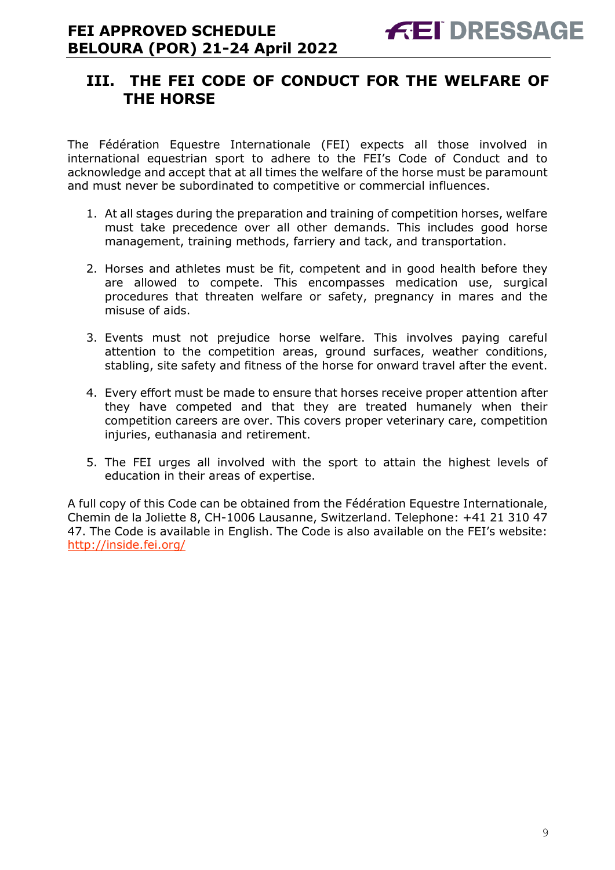# <span id="page-8-0"></span>**III. THE FEI CODE OF CONDUCT FOR THE WELFARE OF THE HORSE**

The Fédération Equestre Internationale (FEI) expects all those involved in international equestrian sport to adhere to the FEI's Code of Conduct and to acknowledge and accept that at all times the welfare of the horse must be paramount and must never be subordinated to competitive or commercial influences.

- 1. At all stages during the preparation and training of competition horses, welfare must take precedence over all other demands. This includes good horse management, training methods, farriery and tack, and transportation.
- 2. Horses and athletes must be fit, competent and in good health before they are allowed to compete. This encompasses medication use, surgical procedures that threaten welfare or safety, pregnancy in mares and the misuse of aids.
- 3. Events must not prejudice horse welfare. This involves paying careful attention to the competition areas, ground surfaces, weather conditions, stabling, site safety and fitness of the horse for onward travel after the event.
- 4. Every effort must be made to ensure that horses receive proper attention after they have competed and that they are treated humanely when their competition careers are over. This covers proper veterinary care, competition injuries, euthanasia and retirement.
- 5. The FEI urges all involved with the sport to attain the highest levels of education in their areas of expertise.

A full copy of this Code can be obtained from the Fédération Equestre Internationale, Chemin de la Joliette 8, CH-1006 Lausanne, Switzerland. Telephone: +41 21 310 47 47. The Code is available in English. The Code is also available on the FEI's website: <http://inside.fei.org/>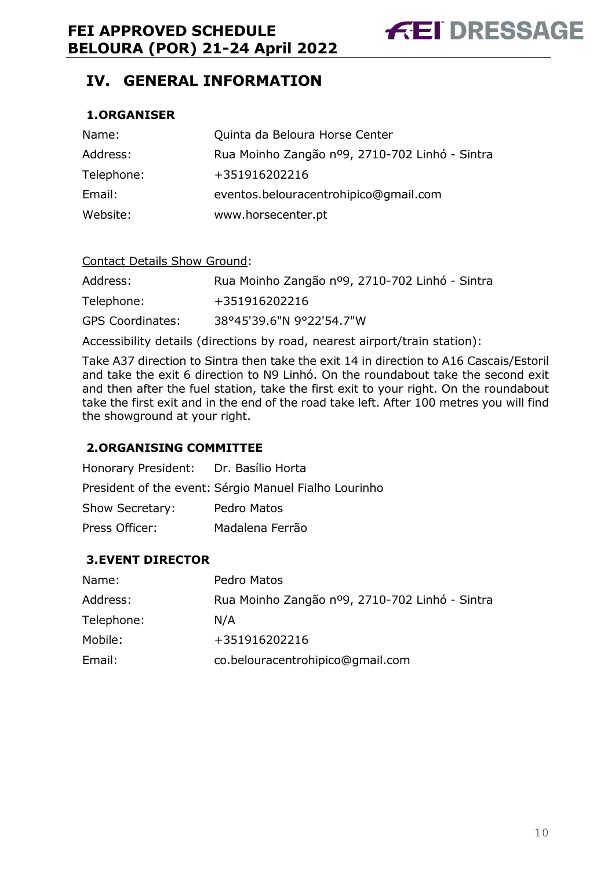# <span id="page-9-0"></span>**IV. GENERAL INFORMATION**

### <span id="page-9-1"></span>**1.ORGANISER**

| Name:      | Quinta da Beloura Horse Center                 |
|------------|------------------------------------------------|
| Address:   | Rua Moinho Zangão nº9, 2710-702 Linhó - Sintra |
| Telephone: | +351916202216                                  |
| Email:     | eventos.belouracentrohipico@gmail.com          |
| Website:   | www.horsecenter.pt                             |

| <b>Contact Details Show Ground:</b> |                                                |
|-------------------------------------|------------------------------------------------|
| Address:                            | Rua Moinho Zangão nº9, 2710-702 Linhó - Sintra |
| Telephone:                          | +351916202216                                  |
| <b>GPS Coordinates:</b>             | 38°45'39.6"N 9°22'54.7"W                       |

Accessibility details (directions by road, nearest airport/train station):

Take A37 direction to Sintra then take the exit 14 in direction to A16 Cascais/Estoril and take the exit 6 direction to N9 Linhó. On the roundabout take the second exit and then after the fuel station, take the first exit to your right. On the roundabout take the first exit and in the end of the road take left. After 100 metres you will find the showground at your right.

#### <span id="page-9-2"></span>**2.ORGANISING COMMITTEE**

Honorary President: Dr. Basílio Horta President of the event: Sérgio Manuel Fialho Lourinho Show Secretary: Pedro Matos Press Officer: Madalena Ferrão

### <span id="page-9-3"></span>**3.EVENT DIRECTOR**

| Name:      | Pedro Matos                                    |
|------------|------------------------------------------------|
| Address:   | Rua Moinho Zangão nº9, 2710-702 Linhó - Sintra |
| Telephone: | N/A                                            |
| Mobile:    | +351916202216                                  |
| Email:     | co.belouracentrohipico@gmail.com               |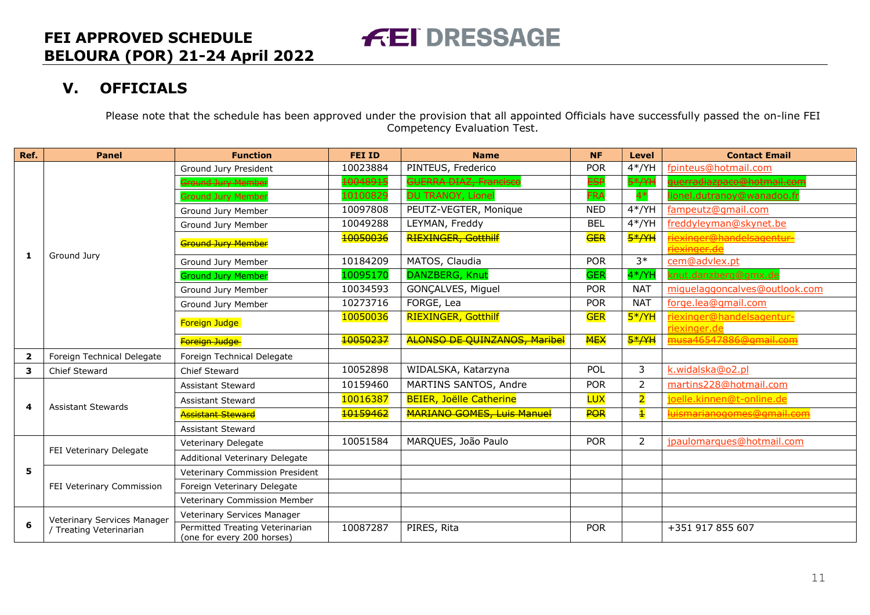# **V. OFFICIALS**

Please note that the schedule has been approved under the provision that all appointed Officials have successfully passed the on-line FEI Competency Evaluation Test.

**FEI DRESSAGE** 

<span id="page-10-0"></span>

| Ref.                    | <b>Panel</b>                | <b>Function</b>                                               | <b>FEI ID</b> | <b>Name</b>                         | <b>NF</b>  | <b>Level</b>            | <b>Contact Email</b>                     |
|-------------------------|-----------------------------|---------------------------------------------------------------|---------------|-------------------------------------|------------|-------------------------|------------------------------------------|
|                         |                             | Ground Jury President                                         | 10023884      | PINTEUS, Frederico                  | <b>POR</b> | $4*/YH$                 | fpinteus@hotmail.com                     |
|                         |                             | Ground Jury Member                                            | 10048915      | <b>GUERRA DIAZ, Francisco</b>       | <b>ESP</b> | $5*/YH$                 | <del>uerradiazpaco@hotmail.con</del>     |
|                         |                             | Ground Jury Member                                            | 10100829      | DU TRANOY, Lionel                   | <b>FRA</b> | $4*$                    | lionel.dutranoy@wanadoo.fr               |
|                         |                             | Ground Jury Member                                            | 10097808      | PEUTZ-VEGTER, Monique               | <b>NED</b> | $4*/YH$                 | fampeutz@gmail.com                       |
|                         |                             | Ground Jury Member                                            | 10049288      | LEYMAN, Freddy                      | <b>BEL</b> | $4*/YH$                 | freddyleyman@skynet.be                   |
|                         |                             | Ground Jury Member                                            | 10050036      | RIEXINGER, Gotthilf                 | <b>GER</b> | <del>5*/YH</del>        | <mark>exinger@handelsagentur-</mark>     |
| 1                       | Ground Jury                 | Ground Jury Member                                            | 10184209      | MATOS, Claudia                      | <b>POR</b> | $3*$                    | cem@advlex.pt                            |
|                         |                             | <b>Ground Jury Member</b>                                     | 10095170      | DANZBERG, Knut                      | <b>GER</b> | $4*/YH$                 | knut.danzberg@gmx.de                     |
|                         |                             | Ground Jury Member                                            | 10034593      | GONCALVES, Miguel                   | <b>POR</b> | <b>NAT</b>              | miguelaggoncalves@outlook.com            |
|                         |                             | Ground Jury Member                                            | 10273716      | FORGE, Lea                          | <b>POR</b> | <b>NAT</b>              | forge.lea@gmail.com                      |
|                         |                             | Foreign Judge                                                 | 10050036      | <b>RIEXINGER, Gotthilf</b>          | <b>GER</b> | $5*/YH$                 | iexinger@handelsagentur-<br>riexinger.de |
|                         |                             | Foreign Judge                                                 | 10050237      | <b>ALONSO DE QUINZANOS, Maribel</b> | <b>MEX</b> | <del>5*/YH</del>        | <mark>านรล46547886@gmail.com</mark>      |
| $\overline{\mathbf{2}}$ | Foreign Technical Delegate  | Foreign Technical Delegate                                    |               |                                     |            |                         |                                          |
| 3                       | Chief Steward               | Chief Steward                                                 | 10052898      | WIDALSKA, Katarzyna                 | POL        | 3                       | k.widalska@o2.pl                         |
|                         | <b>Assistant Stewards</b>   | <b>Assistant Steward</b>                                      | 10159460      | MARTINS SANTOS, Andre               | <b>POR</b> | 2                       | martins228@hotmail.com                   |
| 4                       |                             | Assistant Steward                                             | 10016387      | <b>BEIER, Joëlle Catherine</b>      | <b>LUX</b> | 2                       | joelle.kinnen@t-online.de                |
|                         |                             | <del>Assistant Steward</del>                                  | 10159462      | <b>MARIANO GOMES, Luis Manuel</b>   | <b>POR</b> | $\overline{\mathbf{1}}$ | <mark>luismarianogomes@gmail.com</mark>  |
|                         |                             | <b>Assistant Steward</b>                                      |               |                                     |            |                         |                                          |
|                         |                             | Veterinary Delegate                                           | 10051584      | MARQUES, João Paulo                 | <b>POR</b> | 2                       | jpaulomarques@hotmail.com                |
|                         | FEI Veterinary Delegate     | Additional Veterinary Delegate                                |               |                                     |            |                         |                                          |
| 5                       |                             | Veterinary Commission President                               |               |                                     |            |                         |                                          |
|                         | FEI Veterinary Commission   | Foreign Veterinary Delegate                                   |               |                                     |            |                         |                                          |
|                         |                             | Veterinary Commission Member                                  |               |                                     |            |                         |                                          |
|                         | Veterinary Services Manager | Veterinary Services Manager                                   |               |                                     |            |                         |                                          |
| 6                       | / Treating Veterinarian     | Permitted Treating Veterinarian<br>(one for every 200 horses) | 10087287      | PIRES, Rita                         | <b>POR</b> |                         | +351 917 855 607                         |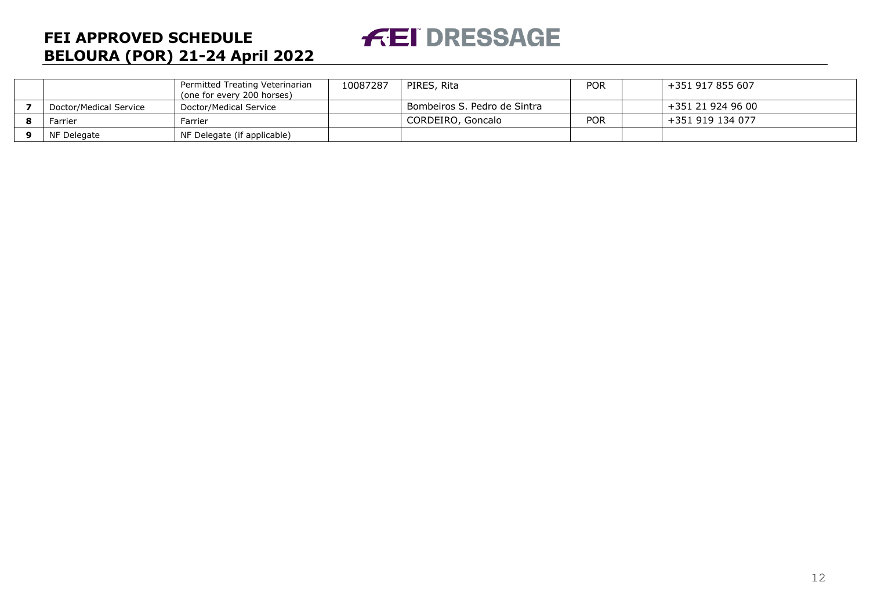# **FEI DRESSAGE**

# **FEI APPROVED SCHEDULE BELOURA (POR) 21-24 April 2022**

|                        | Permitted Treating Veterinarian<br>(one for every 200 horses) | 10087287 | PIRES, Rita                  | POR        | +351 917 855 607  |
|------------------------|---------------------------------------------------------------|----------|------------------------------|------------|-------------------|
| Doctor/Medical Service | Doctor/Medical Service                                        |          | Bombeiros S. Pedro de Sintra |            | +351 21 924 96 00 |
| Farrier                | Farrier                                                       |          | CORDEIRO, Goncalo            | <b>POR</b> | +351 919 134 077  |
| NF Delegate            | NF Delegate (if applicable)                                   |          |                              |            |                   |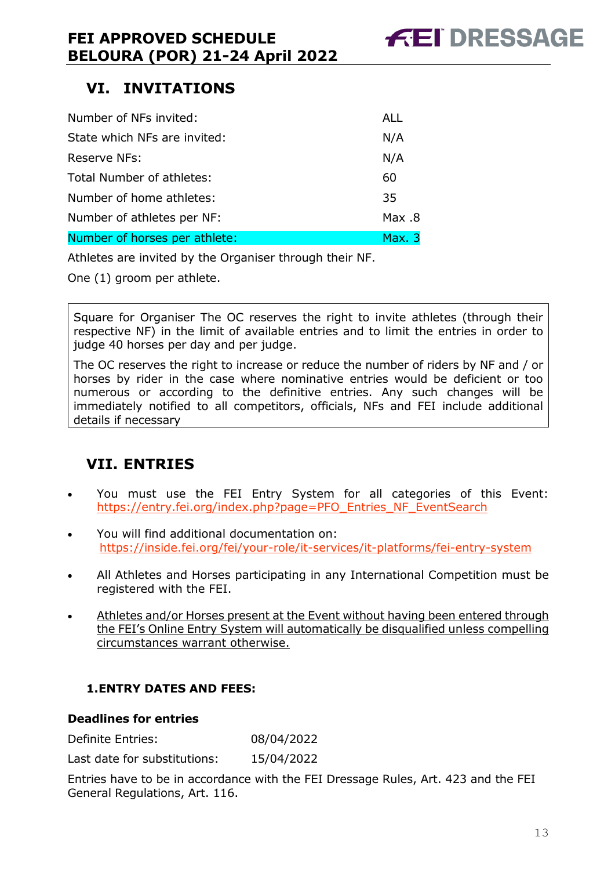# <span id="page-12-0"></span>**VI. INVITATIONS**

| Number of NFs invited:        | ALL    |
|-------------------------------|--------|
| State which NFs are invited:  | N/A    |
| Reserve NFs:                  | N/A    |
| Total Number of athletes:     | 60     |
| Number of home athletes:      | 35     |
| Number of athletes per NF:    | Nax .8 |
| Number of horses per athlete: | Max.3  |

Athletes are invited by the Organiser through their NF.

One (1) groom per athlete.

Square for Organiser The OC reserves the right to invite athletes (through their respective NF) in the limit of available entries and to limit the entries in order to judge 40 horses per day and per judge.

The OC reserves the right to increase or reduce the number of riders by NF and / or horses by rider in the case where nominative entries would be deficient or too numerous or according to the definitive entries. Any such changes will be immediately notified to all competitors, officials, NFs and FEI include additional details if necessary

# <span id="page-12-1"></span>**VII. ENTRIES**

- You must use the FEI Entry System for all categories of this Event: [https://entry.fei.org/index.php?page=PFO\\_Entries\\_NF\\_EventSearch](https://entry.fei.org/index.php?page=PFO_Entries_NF_EventSearch)
- You will find additional documentation on: <https://inside.fei.org/fei/your-role/it-services/it-platforms/fei-entry-system>
- All Athletes and Horses participating in any International Competition must be registered with the FEI.
- Athletes and/or Horses present at the Event without having been entered through the FEI's Online Entry System will automatically be disqualified unless compelling circumstances warrant otherwise.

### <span id="page-12-2"></span>**1.ENTRY DATES AND FEES:**

#### **Deadlines for entries**

Definite Entries: 08/04/2022

Last date for substitutions: 15/04/2022

Entries have to be in accordance with the FEI Dressage Rules, Art. 423 and the FEI General Regulations, Art. 116.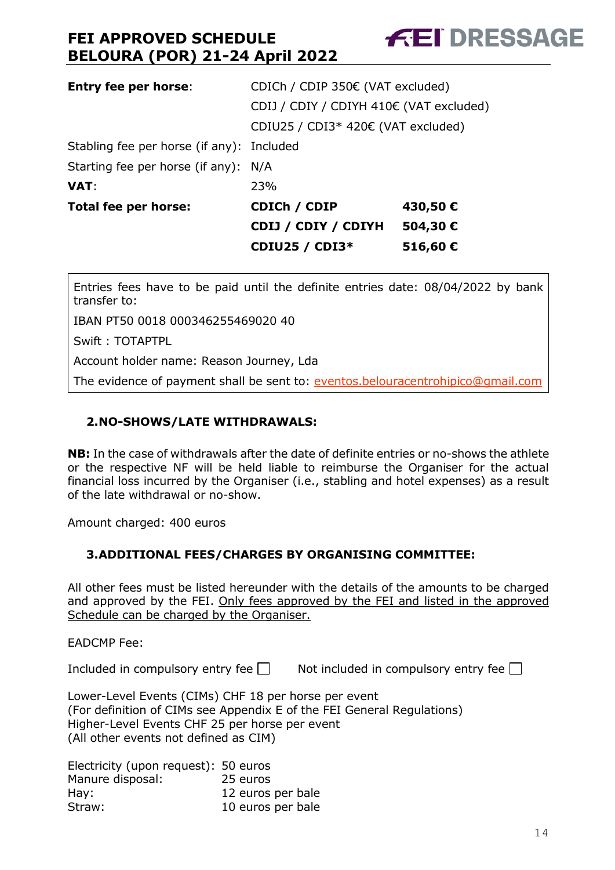| <b>Entry fee per horse:</b>               | CDICh / CDIP 350€ (VAT excluded)        |         |  |  |
|-------------------------------------------|-----------------------------------------|---------|--|--|
|                                           | CDIJ / CDIY / CDIYH 410€ (VAT excluded) |         |  |  |
|                                           | CDIU25 / CDI3* 420€ (VAT excluded)      |         |  |  |
| Stabling fee per horse (if any): Included |                                         |         |  |  |
| Starting fee per horse (if any): N/A      |                                         |         |  |  |
| <b>VAT:</b>                               | 23%                                     |         |  |  |
| Total fee per horse:                      | CDICh / CDIP                            | 430,50€ |  |  |
|                                           | CDIJ / CDIY / CDIYH                     | 504,30€ |  |  |
|                                           | <b>CDIU25 / CDI3*</b>                   | 516,60€ |  |  |

Entries fees have to be paid until the definite entries date: 08/04/2022 by bank transfer to:

IBAN PT50 0018 000346255469020 40

Swift : TOTAPTPL

Account holder name: Reason Journey, Lda

The evidence of payment shall be sent to: [eventos.belouracentrohipico@gmail.com](mailto:eventos.belouracentrohipico@gmail.com)

#### <span id="page-13-0"></span>**2.NO-SHOWS/LATE WITHDRAWALS:**

**NB:** In the case of withdrawals after the date of definite entries or no-shows the athlete or the respective NF will be held liable to reimburse the Organiser for the actual financial loss incurred by the Organiser (i.e., stabling and hotel expenses) as a result of the late withdrawal or no-show.

Amount charged: 400 euros

#### <span id="page-13-1"></span>**3.ADDITIONAL FEES/CHARGES BY ORGANISING COMMITTEE:**

All other fees must be listed hereunder with the details of the amounts to be charged and approved by the FEI. Only fees approved by the FEI and listed in the approved Schedule can be charged by the Organiser.

EADCMP Fee:

Included in compulsory entry fee  $\Box$  Not included in compulsory entry fee  $\Box$ 

Lower-Level Events (CIMs) CHF 18 per horse per event (For definition of CIMs see Appendix E of the FEI General Regulations) Higher-Level Events CHF 25 per horse per event (All other events not defined as CIM)

Electricity (upon request): 50 euros Manure disposal: 25 euros Hay: 12 euros per bale Straw: 10 euros per bale **FEI DRESSAGE**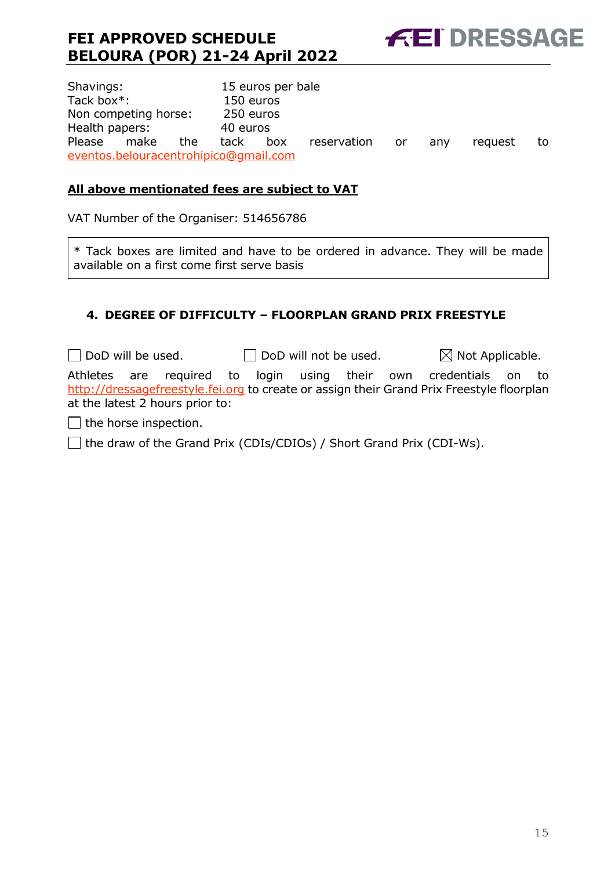**FEI DRESSAGE** 

Shavings: 15 euros per bale Tack box\*: 150 euros Non competing horse: 250 euros Health papers: 40 euros Please make the tack box reservation or any request to [eventos.belouracentrohipico@gmail.com](mailto:eventos.belouracentrohipico@gmail.com)

### **All above mentionated fees are subject to VAT**

VAT Number of the Organiser: 514656786

\* Tack boxes are limited and have to be ordered in advance. They will be made available on a first come first serve basis

### <span id="page-14-0"></span>**4. DEGREE OF DIFFICULTY – FLOORPLAN GRAND PRIX FREESTYLE**

 $\Box$  DoD will be used.  $\Box$  DoD will not be used.  $\boxtimes$  Not Applicable. Athletes are required to login using their own credentials on to [http://dressagefreestyle.fei.org](http://dressagefreestyle.fei.org/) to create or assign their Grand Prix Freestyle floorplan at the latest 2 hours prior to:  $\Box$  the horse inspection.

 $\Box$  the draw of the Grand Prix (CDIs/CDIOs) / Short Grand Prix (CDI-Ws).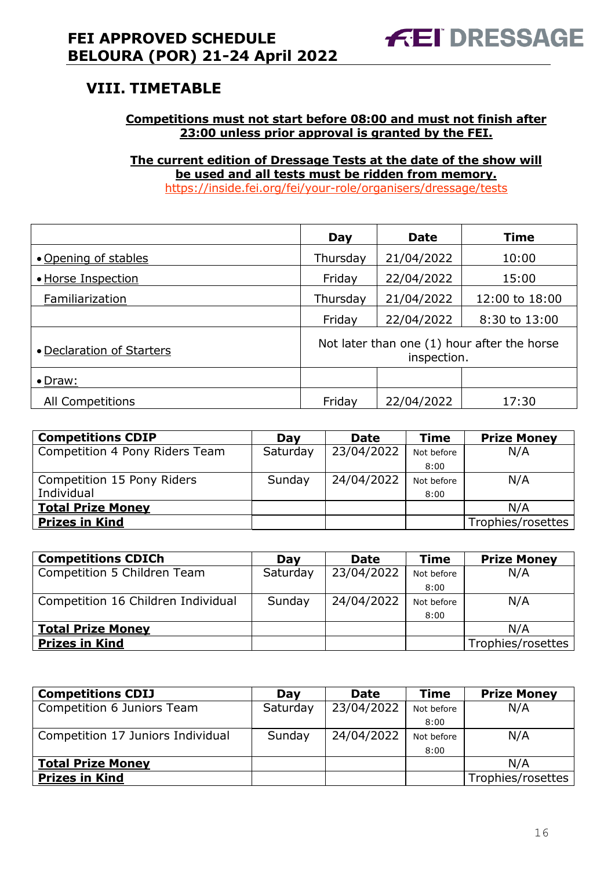# <span id="page-15-0"></span>**VIII. TIMETABLE**

#### **Competitions must not start before 08:00 and must not finish after 23:00 unless prior approval is granted by the FEI.**

**The current edition of Dressage Tests at the date of the show will be used and all tests must be ridden from memory.** <https://inside.fei.org/fei/your-role/organisers/dressage/tests>

|                           | Day                                                        | <b>Date</b> | <b>Time</b>    |  |
|---------------------------|------------------------------------------------------------|-------------|----------------|--|
| • Opening of stables      | Thursday                                                   | 21/04/2022  | 10:00          |  |
| • Horse Inspection        | Friday                                                     | 22/04/2022  | 15:00          |  |
| Familiarization           | Thursday                                                   | 21/04/2022  | 12:00 to 18:00 |  |
|                           | Friday                                                     | 22/04/2022  | 8:30 to 13:00  |  |
| • Declaration of Starters | Not later than one (1) hour after the horse<br>inspection. |             |                |  |
| • Draw:                   |                                                            |             |                |  |
| <b>All Competitions</b>   | Friday                                                     | 22/04/2022  | 17:30          |  |

| <b>Competitions CDIP</b>       | Day      | <b>Date</b> | <b>Time</b> | <b>Prize Money</b> |
|--------------------------------|----------|-------------|-------------|--------------------|
| Competition 4 Pony Riders Team | Saturday | 23/04/2022  | Not before  | N/A                |
|                                |          |             | 8:00        |                    |
| Competition 15 Pony Riders     | Sunday   | 24/04/2022  | Not before  | N/A                |
| Individual                     |          |             | 8:00        |                    |
| <b>Total Prize Money</b>       |          |             |             | N/A                |
| <b>Prizes in Kind</b>          |          |             |             | Trophies/rosettes  |

| <b>Competitions CDICh</b>          | Dav      | <b>Date</b> | <b>Time</b> | <b>Prize Money</b> |
|------------------------------------|----------|-------------|-------------|--------------------|
| Competition 5 Children Team        | Saturday | 23/04/2022  | Not before  | N/A                |
|                                    |          |             | 8:00        |                    |
| Competition 16 Children Individual | Sunday   | 24/04/2022  | Not before  | N/A                |
|                                    |          |             | 8:00        |                    |
| <b>Total Prize Money</b>           |          |             |             | N/A                |
| <b>Prizes in Kind</b>              |          |             |             | Trophies/rosettes  |

| <b>Competitions CDIJ</b>          | Day      | <b>Date</b> | <b>Time</b> | <b>Prize Money</b> |
|-----------------------------------|----------|-------------|-------------|--------------------|
| Competition 6 Juniors Team        | Saturday | 23/04/2022  | Not before  | N/A                |
|                                   |          |             | 8:00        |                    |
| Competition 17 Juniors Individual | Sunday   | 24/04/2022  | Not before  | N/A                |
|                                   |          |             | 8:00        |                    |
| <b>Total Prize Money</b>          |          |             |             | N/A                |
| <b>Prizes in Kind</b>             |          |             |             | Trophies/rosettes  |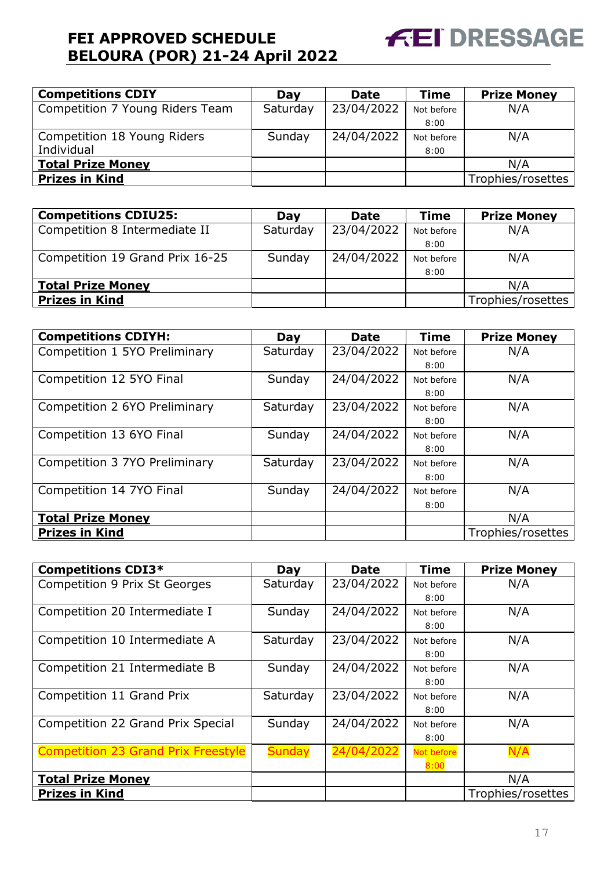

| <b>Competitions CDIY</b>        | Day      | <b>Date</b> | <b>Time</b> | <b>Prize Money</b> |
|---------------------------------|----------|-------------|-------------|--------------------|
| Competition 7 Young Riders Team | Saturday | 23/04/2022  | Not before  | N/A                |
|                                 |          |             | 8:00        |                    |
| Competition 18 Young Riders     | Sunday   | 24/04/2022  | Not before  | N/A                |
| Individual                      |          |             | 8:00        |                    |
| <b>Total Prize Money</b>        |          |             |             | N/A                |
| <b>Prizes in Kind</b>           |          |             |             | Trophies/rosettes  |

| <b>Competitions CDIU25:</b>     | Day      | <b>Date</b> | <b>Time</b> | <b>Prize Money</b> |
|---------------------------------|----------|-------------|-------------|--------------------|
| Competition 8 Intermediate II   | Saturday | 23/04/2022  | Not before  | N/A                |
|                                 |          |             | 8:00        |                    |
| Competition 19 Grand Prix 16-25 | Sunday   | 24/04/2022  | Not before  | N/A                |
|                                 |          |             | 8:00        |                    |
| <b>Total Prize Money</b>        |          |             |             | N/A                |
| <b>Prizes in Kind</b>           |          |             |             | Trophies/rosettes  |

| <b>Competitions CDIYH:</b>    | Day      | <b>Date</b> | <b>Time</b> | <b>Prize Money</b> |
|-------------------------------|----------|-------------|-------------|--------------------|
| Competition 1 5YO Preliminary | Saturday | 23/04/2022  | Not before  | N/A                |
|                               |          |             | 8:00        |                    |
| Competition 12 5YO Final      | Sunday   | 24/04/2022  | Not before  | N/A                |
|                               |          |             | 8:00        |                    |
| Competition 2 6YO Preliminary | Saturday | 23/04/2022  | Not before  | N/A                |
|                               |          |             | 8:00        |                    |
| Competition 13 6YO Final      | Sunday   | 24/04/2022  | Not before  | N/A                |
|                               |          |             | 8:00        |                    |
| Competition 3 7YO Preliminary | Saturday | 23/04/2022  | Not before  | N/A                |
|                               |          |             | 8:00        |                    |
| Competition 14 7YO Final      | Sunday   | 24/04/2022  | Not before  | N/A                |
|                               |          |             | 8:00        |                    |
| <b>Total Prize Money</b>      |          |             |             | N/A                |
| <b>Prizes in Kind</b>         |          |             |             | Trophies/rosettes  |

| <b>Competitions CDI3*</b>                  | Day           | <b>Date</b> | Time       | <b>Prize Money</b> |
|--------------------------------------------|---------------|-------------|------------|--------------------|
| Competition 9 Prix St Georges              | Saturday      | 23/04/2022  | Not before | N/A                |
|                                            |               |             | 8:00       |                    |
| Competition 20 Intermediate I              | Sunday        | 24/04/2022  | Not before | N/A                |
|                                            |               |             | 8:00       |                    |
| Competition 10 Intermediate A              | Saturday      | 23/04/2022  | Not before | N/A                |
|                                            |               |             | 8:00       |                    |
| Competition 21 Intermediate B              | Sunday        | 24/04/2022  | Not before | N/A                |
|                                            |               |             | 8:00       |                    |
| Competition 11 Grand Prix                  | Saturday      | 23/04/2022  | Not before | N/A                |
|                                            |               |             | 8:00       |                    |
| Competition 22 Grand Prix Special          | Sunday        | 24/04/2022  | Not before | N/A                |
|                                            |               |             | 8:00       |                    |
| <b>Competition 23 Grand Prix Freestyle</b> | <b>Sunday</b> | 24/04/2022  | Not before | N/A                |
|                                            |               |             | 8:00       |                    |
| <b>Total Prize Money</b>                   |               |             |            | N/A                |
| <b>Prizes in Kind</b>                      |               |             |            | Trophies/rosettes  |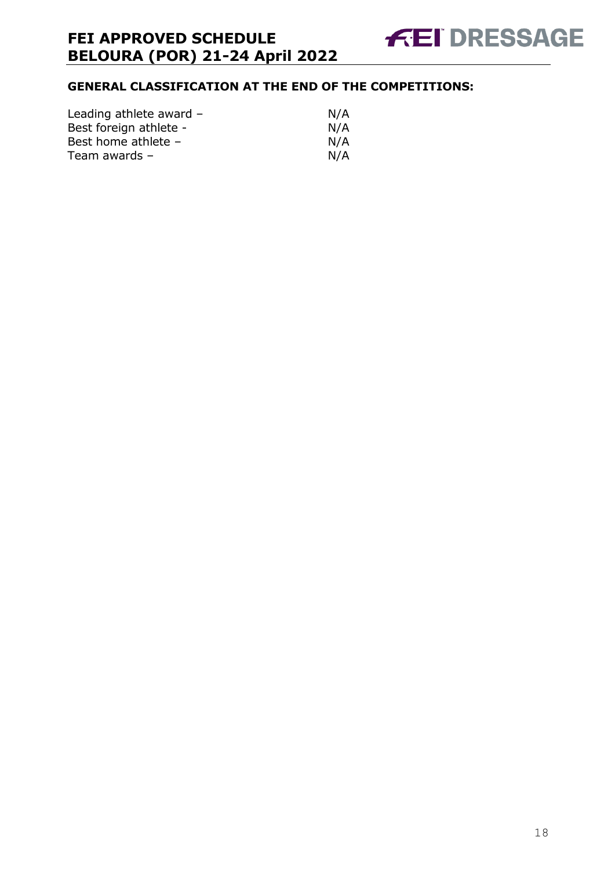

### **GENERAL CLASSIFICATION AT THE END OF THE COMPETITIONS:**

| Leading athlete award - | N/A |
|-------------------------|-----|
| Best foreign athlete -  | N/A |
| Best home athlete -     | N/A |
| Team awards –           | N/A |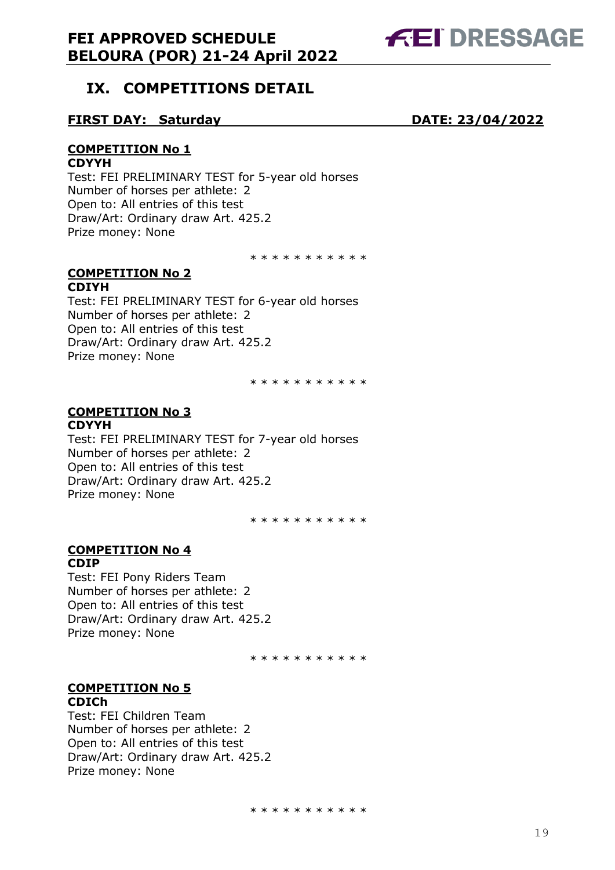

# <span id="page-18-0"></span>**IX. COMPETITIONS DETAIL**

#### **FIRST DAY: Saturday DATE: 23/04/2022**

### **COMPETITION No 1**

#### **CDYYH**

Test: FEI PRELIMINARY TEST for 5-year old horses Number of horses per athlete: 2 Open to: All entries of this test Draw/Art: Ordinary draw Art. 425.2 Prize money: None

\* \* \* \* \* \* \* \* \* \*

#### **COMPETITION No 2 CDIYH**

Test: FEI PRELIMINARY TEST for 6-year old horses Number of horses per athlete: 2 Open to: All entries of this test Draw/Art: Ordinary draw Art. 425.2 Prize money: None

\* \* \* \* \* \* \* \* \* \*

#### **COMPETITION No 3 CDYYH**

Test: FEI PRELIMINARY TEST for 7-year old horses Number of horses per athlete: 2 Open to: All entries of this test Draw/Art: Ordinary draw Art. 425.2 Prize money: None

\* \* \* \* \* \* \* \* \* \*

#### **COMPETITION No 4 CDIP**

Test: FEI Pony Riders Team Number of horses per athlete: 2 Open to: All entries of this test Draw/Art: Ordinary draw Art. 425.2 Prize money: None

\* \* \* \* \* \* \* \* \* \*

#### **COMPETITION No 5 CDICh**

Test: FEI Children Team Number of horses per athlete: 2 Open to: All entries of this test Draw/Art: Ordinary draw Art. 425.2 Prize money: None

\* \* \* \* \* \* \* \* \* \*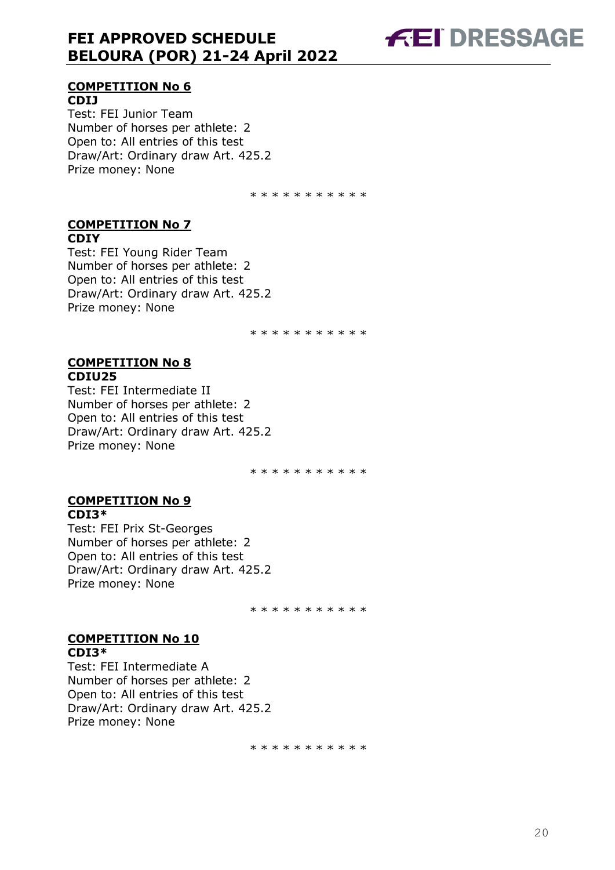

#### **COMPETITION No 6 CDIJ**

Test: FEI Junior Team Number of horses per athlete: 2 Open to: All entries of this test Draw/Art: Ordinary draw Art. 425.2 Prize money: None

\* \* \* \* \* \* \* \* \* \*

#### **COMPETITION No 7 CDIY**

Test: FEI Young Rider Team Number of horses per athlete: 2 Open to: All entries of this test Draw/Art: Ordinary draw Art. 425.2 Prize money: None

\* \* \* \* \* \* \* \* \* \*

#### **COMPETITION No 8 CDIU25**

Test: FEI Intermediate II Number of horses per athlete: 2 Open to: All entries of this test Draw/Art: Ordinary draw Art. 425.2 Prize money: None

\* \* \* \* \* \* \* \* \* \*

#### **COMPETITION No 9 CDI3\***

Test: FEI Prix St-Georges Number of horses per athlete: 2 Open to: All entries of this test Draw/Art: Ordinary draw Art. 425.2 Prize money: None

\* \* \* \* \* \* \* \* \* \*

#### **COMPETITION No 10 CDI3\***

Test: FEI Intermediate A Number of horses per athlete: 2 Open to: All entries of this test Draw/Art: Ordinary draw Art. 425.2 Prize money: None

\* \* \* \* \* \* \* \* \* \*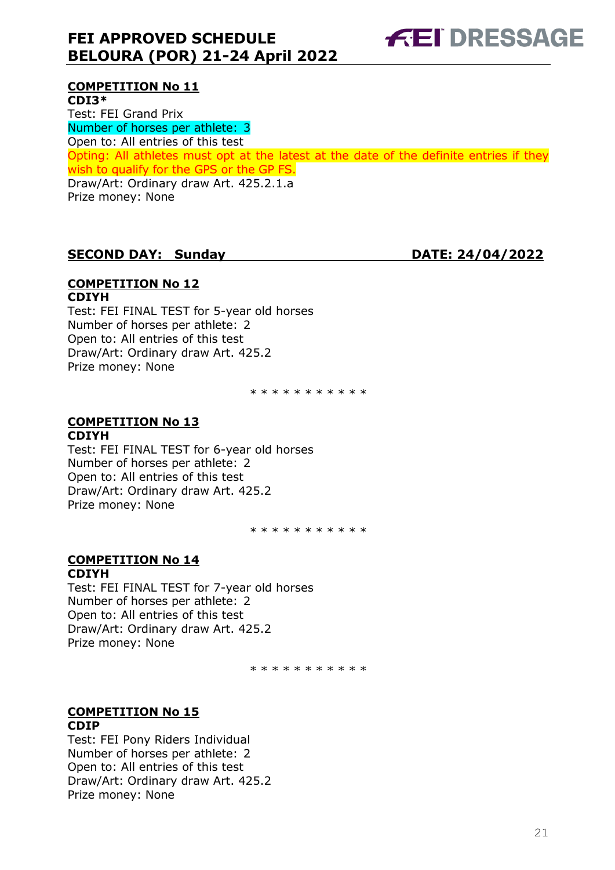

### **COMPETITION No 11**

**CDI3\*** Test: FEI Grand Prix Number of horses per athlete: 3 Open to: All entries of this test Opting: All athletes must opt at the latest at the date of the definite entries if they wish to qualify for the GPS or the GP FS. Draw/Art: Ordinary draw Art. 425.2.1.a Prize money: None

### **SECOND DAY: Sunday DATE: 24/04/2022**

#### **COMPETITION No 12 CDIYH**

Test: FEI FINAL TEST for 5-year old horses Number of horses per athlete: 2 Open to: All entries of this test Draw/Art: Ordinary draw Art. 425.2 Prize money: None

\* \* \* \* \* \* \* \* \* \*

### **COMPETITION No 13**

#### **CDIYH**

Test: FEI FINAL TEST for 6-year old horses Number of horses per athlete: 2 Open to: All entries of this test Draw/Art: Ordinary draw Art. 425.2 Prize money: None

\* \* \* \* \* \* \* \* \* \*

#### **COMPETITION No 14 CDIYH**

Test: FEI FINAL TEST for 7-year old horses Number of horses per athlete: 2 Open to: All entries of this test Draw/Art: Ordinary draw Art. 425.2 Prize money: None

\* \* \* \* \* \* \* \* \* \* \*

# **COMPETITION No 15**

#### **CDIP**

Test: FEI Pony Riders Individual Number of horses per athlete: 2 Open to: All entries of this test Draw/Art: Ordinary draw Art. 425.2 Prize money: None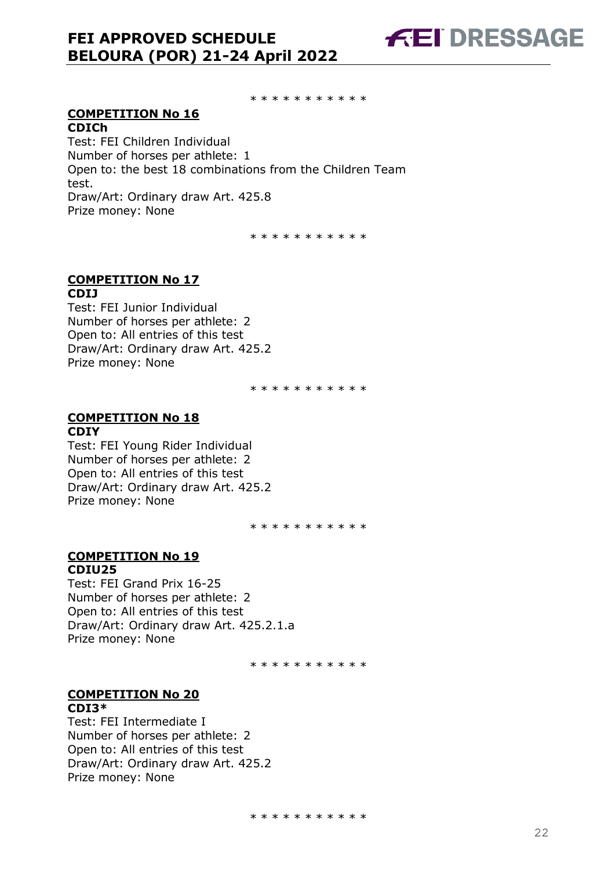**FEI DRESSAGE** 

\* \* \* \* \* \* \* \* \* \*

#### **COMPETITION No 16 CDICh**

Test: FEI Children Individual Number of horses per athlete: 1 Open to: the best 18 combinations from the Children Team test. Draw/Art: Ordinary draw Art. 425.8 Prize money: None

\* \* \* \* \* \* \* \* \* \*

#### **COMPETITION No 17 CDIJ**

Test: FEI Junior Individual Number of horses per athlete: 2 Open to: All entries of this test Draw/Art: Ordinary draw Art. 425.2 Prize money: None

\* \* \* \* \* \* \* \* \* \*

#### **COMPETITION No 18 CDIY**

Test: FEI Young Rider Individual Number of horses per athlete: 2 Open to: All entries of this test Draw/Art: Ordinary draw Art. 425.2 Prize money: None

\* \* \* \* \* \* \* \* \* \*

#### **COMPETITION No 19 CDIU25**

Test: FEI Grand Prix 16-25 Number of horses per athlete: 2 Open to: All entries of this test Draw/Art: Ordinary draw Art. 425.2.1.a Prize money: None

\* \* \* \* \* \* \* \* \* \*

#### **COMPETITION No 20 CDI3\***

Test: FEI Intermediate I Number of horses per athlete: 2 Open to: All entries of this test Draw/Art: Ordinary draw Art. 425.2 Prize money: None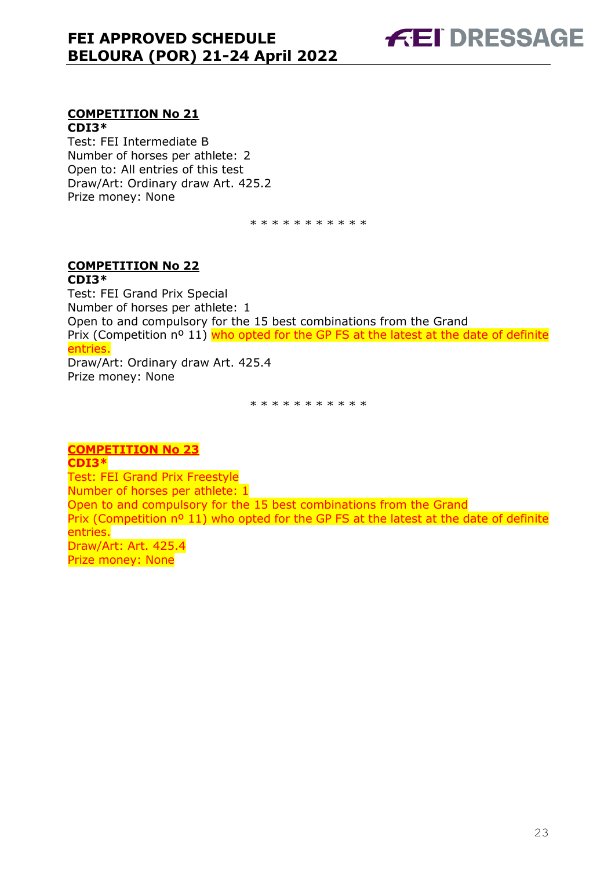

#### **COMPETITION No 21 CDI3\***

Test: FEI Intermediate B Number of horses per athlete: 2 Open to: All entries of this test Draw/Art: Ordinary draw Art. 425.2 Prize money: None

\* \* \* \* \* \* \* \* \* \*

#### **COMPETITION No 22 CDI3\***

Test: FEI Grand Prix Special Number of horses per athlete: 1 Open to and compulsory for the 15 best combinations from the Grand Prix (Competition nº 11) who opted for the GP FS at the latest at the date of definite entries. Draw/Art: Ordinary draw Art. 425.4

Prize money: None

\* \* \* \* \* \* \* \* \* \*

**COMPETITION No 23 CDI3\*** Test: FEI Grand Prix Freestyle Number of horses per athlete: 1 Open to and compulsory for the 15 best combinations from the Grand Prix (Competition n<sup>o</sup> 11) who opted for the GP FS at the latest at the date of definite entries. Draw/Art: Art. 425.4 Prize money: None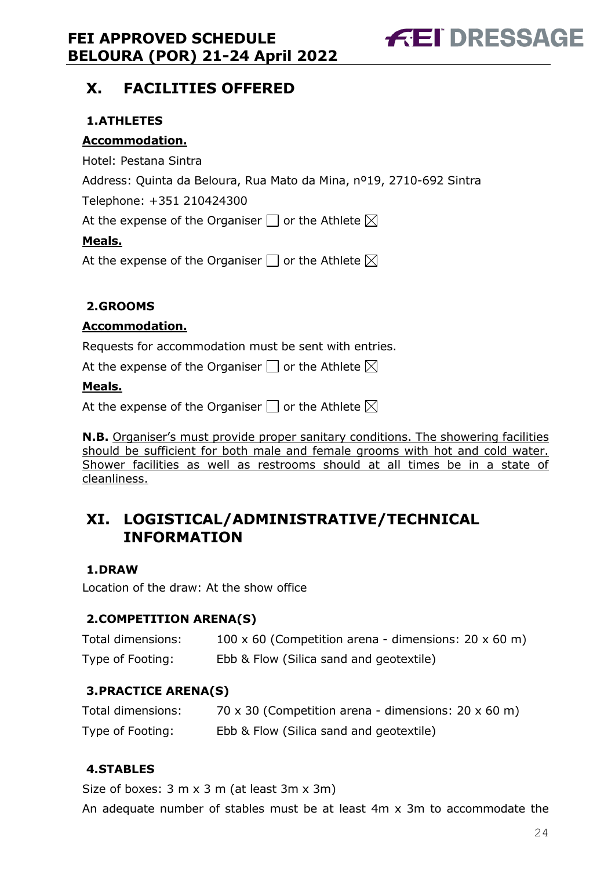

# <span id="page-23-0"></span>**X. FACILITIES OFFERED**

### <span id="page-23-1"></span>**1.ATHLETES**

#### **Accommodation.**

Hotel: Pestana Sintra

Address: Quinta da Beloura, Rua Mato da Mina, nº19, 2710-692 Sintra

Telephone: +351 210424300

At the expense of the Organiser  $\Box$  or the Athlete  $\boxtimes$ 

#### **Meals.**

At the expense of the Organiser  $\Box$  or the Athlete  $\boxtimes$ 

### <span id="page-23-2"></span>**2.GROOMS**

#### **Accommodation.**

Requests for accommodation must be sent with entries.

At the expense of the Organiser  $\Box$  or the Athlete  $\boxtimes$ 

#### **Meals.**

At the expense of the Organiser  $\square$  or the Athlete  $\boxtimes$ 

**N.B.** Organiser's must provide proper sanitary conditions. The showering facilities should be sufficient for both male and female grooms with hot and cold water. Shower facilities as well as restrooms should at all times be in a state of cleanliness.

## <span id="page-23-3"></span>**XI. LOGISTICAL/ADMINISTRATIVE/TECHNICAL INFORMATION**

### <span id="page-23-4"></span>**1.DRAW**

Location of the draw: At the show office

### <span id="page-23-5"></span>**2.COMPETITION ARENA(S)**

| Total dimensions: | 100 x 60 (Competition arena - dimensions: $20 \times 60$ m) |
|-------------------|-------------------------------------------------------------|
| Type of Footing:  | Ebb & Flow (Silica sand and geotextile)                     |

### <span id="page-23-6"></span>**3.PRACTICE ARENA(S)**

| Total dimensions: | 70 x 30 (Competition arena - dimensions: $20 \times 60$ m) |
|-------------------|------------------------------------------------------------|
| Type of Footing:  | Ebb & Flow (Silica sand and geotextile)                    |

### <span id="page-23-7"></span>**4.STABLES**

Size of boxes: 3 m x 3 m (at least 3m x 3m)

An adequate number of stables must be at least 4m x 3m to accommodate the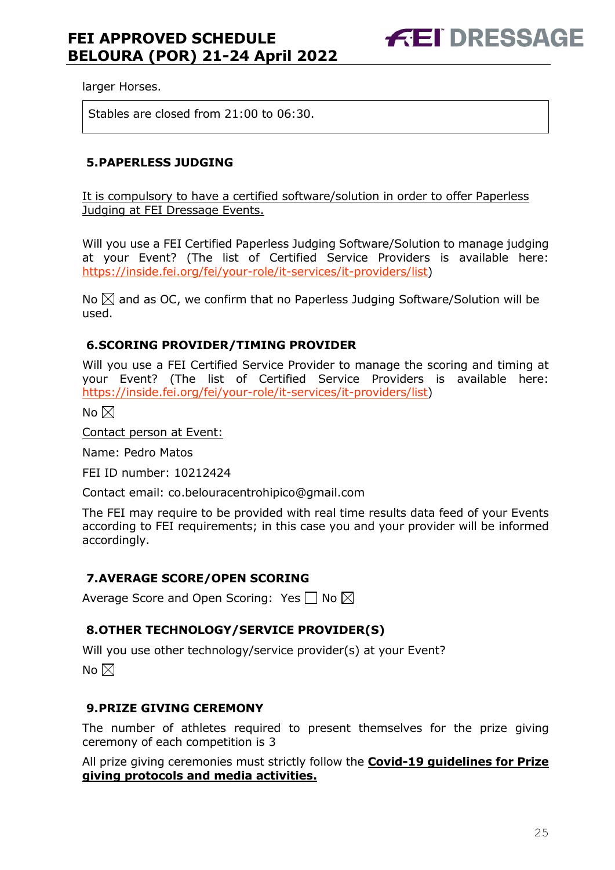larger Horses.

Stables are closed from 21:00 to 06:30.

#### <span id="page-24-0"></span>**5.PAPERLESS JUDGING**

It is compulsory to have a certified software/solution in order to offer Paperless Judging at FEI Dressage Events.

Will you use a FEI Certified Paperless Judging Software/Solution to manage judging at your Event? (The list of Certified Service Providers is available here: [https://inside.fei.org/fei/your-role/it-services/it-providers/list\)](https://inside.fei.org/fei/your-role/it-services/it-providers/list)

No  $\boxtimes$  and as OC, we confirm that no Paperless Judging Software/Solution will be used.

#### <span id="page-24-1"></span>**6.SCORING PROVIDER/TIMING PROVIDER**

Will you use a FEI Certified Service Provider to manage the scoring and timing at your Event? (The list of Certified Service Providers is available here: [https://inside.fei.org/fei/your-role/it-services/it-providers/list\)](https://inside.fei.org/fei/your-role/it-services/it-providers/list)

No  $\boxtimes$ 

Contact person at Event:

Name: Pedro Matos

FEI ID number: 10212424

Contact email: co.belouracentrohipico@gmail.com

The FEI may require to be provided with real time results data feed of your Events according to FEI requirements; in this case you and your provider will be informed accordingly.

#### <span id="page-24-2"></span>**7.AVERAGE SCORE/OPEN SCORING**

Average Score and Open Scoring: Yes  $\Box$  No  $\boxtimes$ 

#### <span id="page-24-3"></span>**8.OTHER TECHNOLOGY/SERVICE PROVIDER(S)**

Will you use other technology/service provider(s) at your Event? No  $\boxtimes$ 

#### <span id="page-24-4"></span>**9.PRIZE GIVING CEREMONY**

The number of athletes required to present themselves for the prize giving ceremony of each competition is 3

All prize giving ceremonies must strictly follow the **Covid-19 guidelines for Prize giving protocols and media activities.**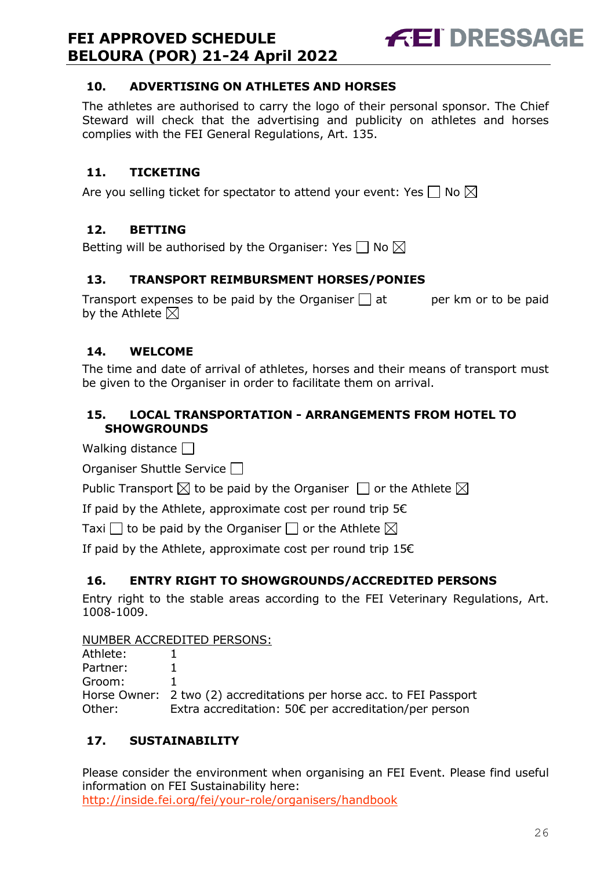

### <span id="page-25-0"></span>**10. ADVERTISING ON ATHLETES AND HORSES**

The athletes are authorised to carry the logo of their personal sponsor. The Chief Steward will check that the advertising and publicity on athletes and horses complies with the FEI General Regulations, Art. 135.

### <span id="page-25-1"></span>**11. TICKETING**

Are you selling ticket for spectator to attend your event: Yes  $\Box$  No  $\boxtimes$ 

### <span id="page-25-2"></span>**12. BETTING**

Betting will be authorised by the Organiser: Yes  $\square$  No  $\boxtimes$ 

### <span id="page-25-3"></span>**13. TRANSPORT REIMBURSMENT HORSES/PONIES**

Transport expenses to be paid by the Organiser  $\Box$  at early per km or to be paid by the Athlete  $\boxtimes$ 

### <span id="page-25-4"></span>**14. WELCOME**

The time and date of arrival of athletes, horses and their means of transport must be given to the Organiser in order to facilitate them on arrival.

### <span id="page-25-5"></span>**15. LOCAL TRANSPORTATION - ARRANGEMENTS FROM HOTEL TO SHOWGROUNDS**

Walking distance  $\Box$ 

Organiser Shuttle Service  $\Box$ 

Public Transport  $\boxtimes$  to be paid by the Organiser  $\Box$  or the Athlete  $\boxtimes$ 

If paid by the Athlete, approximate cost per round trip  $5 \in$ 

Taxi  $\Box$  to be paid by the Organiser  $\Box$  or the Athlete  $\boxtimes$ 

If paid by the Athlete, approximate cost per round trip  $15 $\epsilon$$ 

### <span id="page-25-6"></span>**16. ENTRY RIGHT TO SHOWGROUNDS/ACCREDITED PERSONS**

Entry right to the stable areas according to the FEI Veterinary Regulations, Art. 1008-1009.

#### NUMBER ACCREDITED PERSONS:

| Athlete: |                                                                      |
|----------|----------------------------------------------------------------------|
| Partner: |                                                                      |
| Groom:   |                                                                      |
|          | Horse Owner: 2 two (2) accreditations per horse acc. to FEI Passport |
| Other:   | Extra accreditation: 50€ per accreditation/per person                |

### <span id="page-25-7"></span>**17. SUSTAINABILITY**

Please consider the environment when organising an FEI Event. Please find useful information on FEI Sustainability here: <http://inside.fei.org/fei/your-role/organisers/handbook>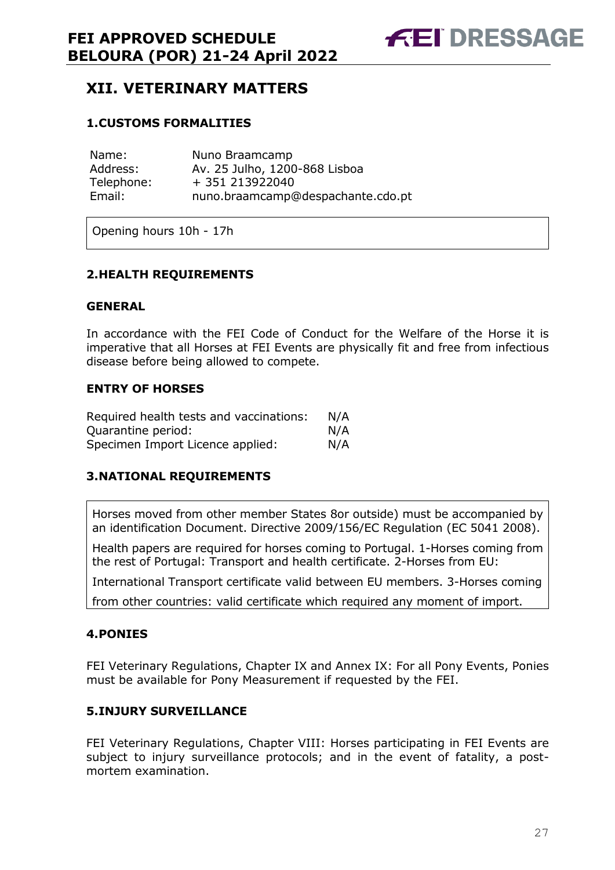# <span id="page-26-0"></span>**XII. VETERINARY MATTERS**

#### <span id="page-26-1"></span>**1.CUSTOMS FORMALITIES**

| Name:      | Nuno Braamcamp                    |
|------------|-----------------------------------|
| Address:   | Av. 25 Julho, 1200-868 Lisboa     |
| Telephone: | + 351 213922040                   |
| Email:     | nuno.braamcamp@despachante.cdo.pt |

Opening hours 10h - 17h

#### <span id="page-26-2"></span>**2.HEALTH REQUIREMENTS**

#### **GENERAL**

In accordance with the FEI Code of Conduct for the Welfare of the Horse it is imperative that all Horses at FEI Events are physically fit and free from infectious disease before being allowed to compete.

#### **ENTRY OF HORSES**

| Required health tests and vaccinations: | N/A |
|-----------------------------------------|-----|
| Ouarantine period:                      | N/A |
| Specimen Import Licence applied:        | N/A |

#### <span id="page-26-3"></span>**3.NATIONAL REQUIREMENTS**

Horses moved from other member States 8or outside) must be accompanied by an identification Document. Directive 2009/156/EC Regulation (EC 5041 2008).

Health papers are required for horses coming to Portugal. 1-Horses coming from the rest of Portugal: Transport and health certificate. 2-Horses from EU:

International Transport certificate valid between EU members. 3-Horses coming

from other countries: valid certificate which required any moment of import.

#### <span id="page-26-4"></span>**4.PONIES**

FEI Veterinary Regulations, Chapter IX and Annex IX: For all Pony Events, Ponies must be available for Pony Measurement if requested by the FEI.

#### <span id="page-26-5"></span>**5.INJURY SURVEILLANCE**

FEI Veterinary Regulations, Chapter VIII: Horses participating in FEI Events are subject to injury surveillance protocols; and in the event of fatality, a postmortem examination.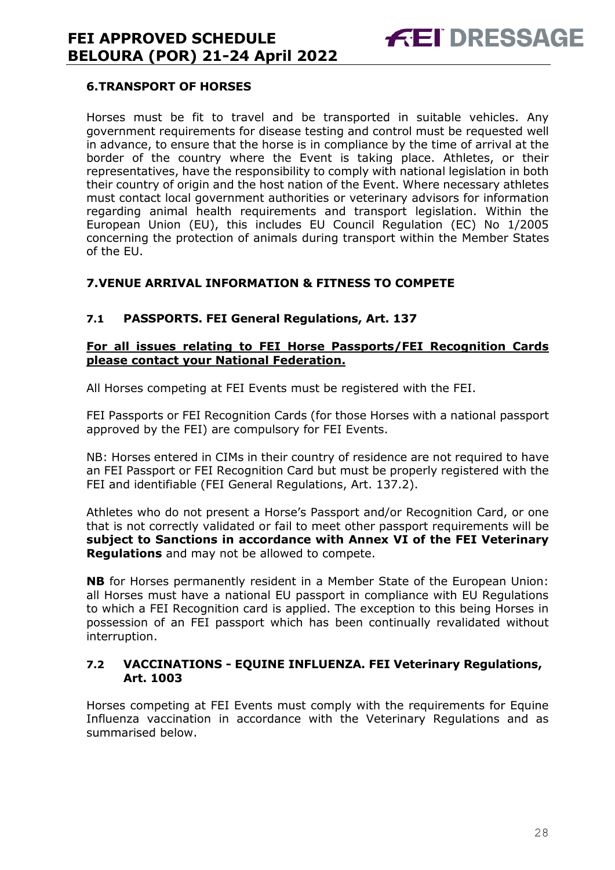

#### <span id="page-27-0"></span>**6.TRANSPORT OF HORSES**

Horses must be fit to travel and be transported in suitable vehicles. Any government requirements for disease testing and control must be requested well in advance, to ensure that the horse is in compliance by the time of arrival at the border of the country where the Event is taking place. Athletes, or their representatives, have the responsibility to comply with national legislation in both their country of origin and the host nation of the Event. Where necessary athletes must contact local government authorities or veterinary advisors for information regarding animal health requirements and transport legislation. Within the European Union (EU), this includes EU Council Regulation (EC) No 1/2005 concerning the protection of animals during transport within the Member States of the EU.

#### <span id="page-27-1"></span>**7.VENUE ARRIVAL INFORMATION & FITNESS TO COMPETE**

#### **7.1 PASSPORTS. FEI General Regulations, Art. 137**

#### **For all issues relating to FEI Horse Passports/FEI Recognition Cards please contact your National Federation.**

All Horses competing at FEI Events must be registered with the FEI.

FEI Passports or FEI Recognition Cards (for those Horses with a national passport approved by the FEI) are compulsory for FEI Events.

NB: Horses entered in CIMs in their country of residence are not required to have an FEI Passport or FEI Recognition Card but must be properly registered with the FEI and identifiable (FEI General Regulations, Art. 137.2).

Athletes who do not present a Horse's Passport and/or Recognition Card, or one that is not correctly validated or fail to meet other passport requirements will be **subject to Sanctions in accordance with Annex VI of the FEI Veterinary Regulations** and may not be allowed to compete.

**NB** for Horses permanently resident in a Member State of the European Union: all Horses must have a national EU passport in compliance with EU Regulations to which a FEI Recognition card is applied. The exception to this being Horses in possession of an FEI passport which has been continually revalidated without interruption.

#### **7.2 VACCINATIONS - EQUINE INFLUENZA. FEI Veterinary Regulations, Art. 1003**

Horses competing at FEI Events must comply with the requirements for Equine Influenza vaccination in accordance with the Veterinary Regulations and as summarised below.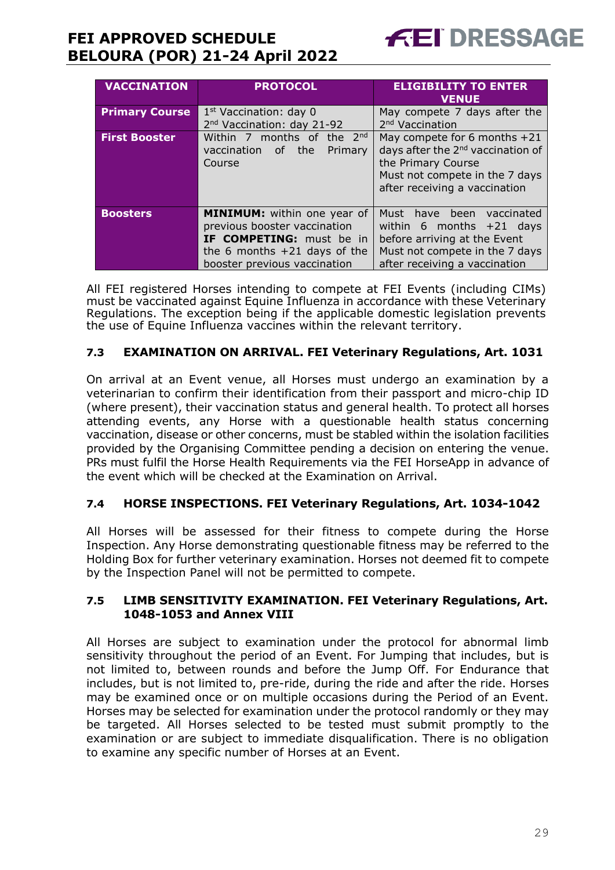

| <b>VACCINATION</b>    | <b>PROTOCOL</b>                        | <b>ELIGIBILITY TO ENTER</b><br><b>VENUE</b>   |  |
|-----------------------|----------------------------------------|-----------------------------------------------|--|
| <b>Primary Course</b> | $1st$ Vaccination: day 0               | May compete 7 days after the                  |  |
|                       | 2 <sup>nd</sup> Vaccination: day 21-92 | 2 <sup>nd</sup> Vaccination                   |  |
| <b>First Booster</b>  | Within 7 months of the 2nd             | May compete for 6 months +21                  |  |
|                       | vaccination of the<br>Primary          | days after the 2 <sup>nd</sup> vaccination of |  |
|                       | Course                                 | the Primary Course                            |  |
|                       |                                        | Must not compete in the 7 days                |  |
|                       |                                        | after receiving a vaccination                 |  |
|                       |                                        |                                               |  |
| <b>Boosters</b>       | <b>MINIMUM:</b> within one year of     | Must have been vaccinated                     |  |
|                       | previous booster vaccination           | within 6 months $+21$ days                    |  |
|                       | IF COMPETING: must be in               | before arriving at the Event                  |  |
|                       | the 6 months $+21$ days of the         | Must not compete in the 7 days                |  |
|                       | booster previous vaccination           | after receiving a vaccination                 |  |

All FEI registered Horses intending to compete at FEI Events (including CIMs) must be vaccinated against Equine Influenza in accordance with these Veterinary Regulations. The exception being if the applicable domestic legislation prevents the use of Equine Influenza vaccines within the relevant territory.

#### **7.3 EXAMINATION ON ARRIVAL. FEI Veterinary Regulations, Art. 1031**

On arrival at an Event venue, all Horses must undergo an examination by a veterinarian to confirm their identification from their passport and micro-chip ID (where present), their vaccination status and general health. To protect all horses attending events, any Horse with a questionable health status concerning vaccination, disease or other concerns, must be stabled within the isolation facilities provided by the Organising Committee pending a decision on entering the venue. PRs must fulfil the Horse Health Requirements via the FEI HorseApp in advance of the event which will be checked at the Examination on Arrival.

### **7.4 HORSE INSPECTIONS. FEI Veterinary Regulations, Art. 1034-1042**

All Horses will be assessed for their fitness to compete during the Horse Inspection. Any Horse demonstrating questionable fitness may be referred to the Holding Box for further veterinary examination. Horses not deemed fit to compete by the Inspection Panel will not be permitted to compete.

#### **7.5 LIMB SENSITIVITY EXAMINATION. FEI Veterinary Regulations, Art. 1048-1053 and Annex VIII**

All Horses are subject to examination under the protocol for abnormal limb sensitivity throughout the period of an Event. For Jumping that includes, but is not limited to, between rounds and before the Jump Off. For Endurance that includes, but is not limited to, pre-ride, during the ride and after the ride. Horses may be examined once or on multiple occasions during the Period of an Event. Horses may be selected for examination under the protocol randomly or they may be targeted. All Horses selected to be tested must submit promptly to the examination or are subject to immediate disqualification. There is no obligation to examine any specific number of Horses at an Event.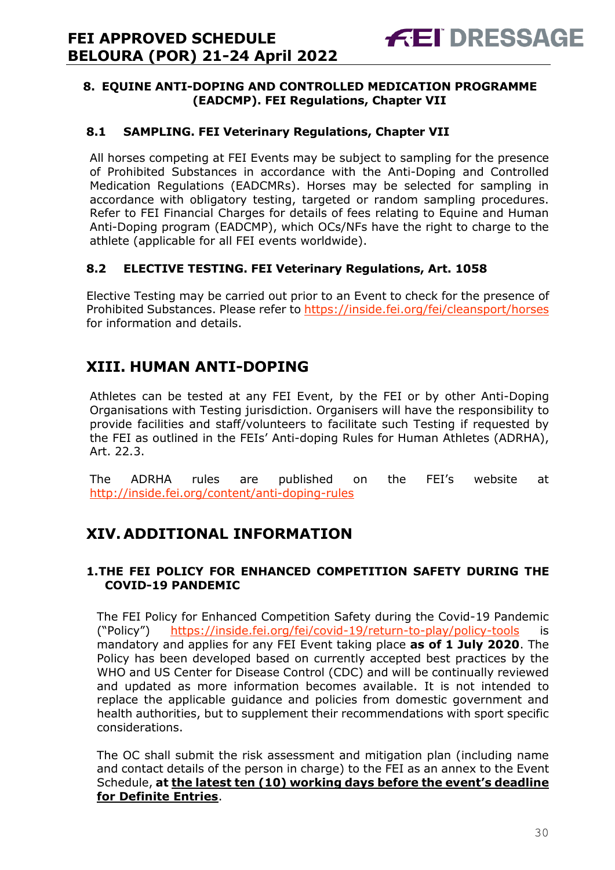#### <span id="page-29-0"></span>**8. EQUINE ANTI-DOPING AND CONTROLLED MEDICATION PROGRAMME (EADCMP). FEI Regulations, Chapter VII**

#### **8.1 SAMPLING. FEI Veterinary Regulations, Chapter VII**

All horses competing at FEI Events may be subject to sampling for the presence of Prohibited Substances in accordance with the Anti-Doping and Controlled Medication Regulations (EADCMRs). Horses may be selected for sampling in accordance with obligatory testing, targeted or random sampling procedures. Refer to FEI Financial Charges for details of fees relating to Equine and Human Anti-Doping program (EADCMP), which OCs/NFs have the right to charge to the athlete (applicable for all FEI events worldwide).

### **8.2 ELECTIVE TESTING. FEI Veterinary Regulations, Art. 1058**

Elective Testing may be carried out prior to an Event to check for the presence of Prohibited Substances. Please refer to https://inside.fei.org/fei/cleansport/horses for information and details.

# <span id="page-29-1"></span>**XIII. HUMAN ANTI-DOPING**

Athletes can be tested at any FEI Event, by the FEI or by other Anti-Doping Organisations with Testing jurisdiction. Organisers will have the responsibility to provide facilities and staff/volunteers to facilitate such Testing if requested by the FEI as outlined in the FEIs' Anti-doping Rules for Human Athletes (ADRHA), Art. 22.3.

The ADRHA rules are published on the FEI's website at <http://inside.fei.org/content/anti-doping-rules>

# <span id="page-29-2"></span>**XIV. ADDITIONAL INFORMATION**

#### <span id="page-29-3"></span>**1.THE FEI POLICY FOR ENHANCED COMPETITION SAFETY DURING THE COVID-19 PANDEMIC**

The FEI Policy for Enhanced Competition Safety during the Covid-19 Pandemic ("Policy") <https://inside.fei.org/fei/covid-19/return-to-play/policy-tools> is mandatory and applies for any FEI Event taking place **as of 1 July 2020**. The Policy has been developed based on currently accepted best practices by the WHO and US Center for Disease Control (CDC) and will be continually reviewed and updated as more information becomes available. It is not intended to replace the applicable guidance and policies from domestic government and health authorities, but to supplement their recommendations with sport specific considerations.

The OC shall submit the risk assessment and mitigation plan (including name and contact details of the person in charge) to the FEI as an annex to the Event Schedule, **at the latest ten (10) working days before the event's deadline for Definite Entries**.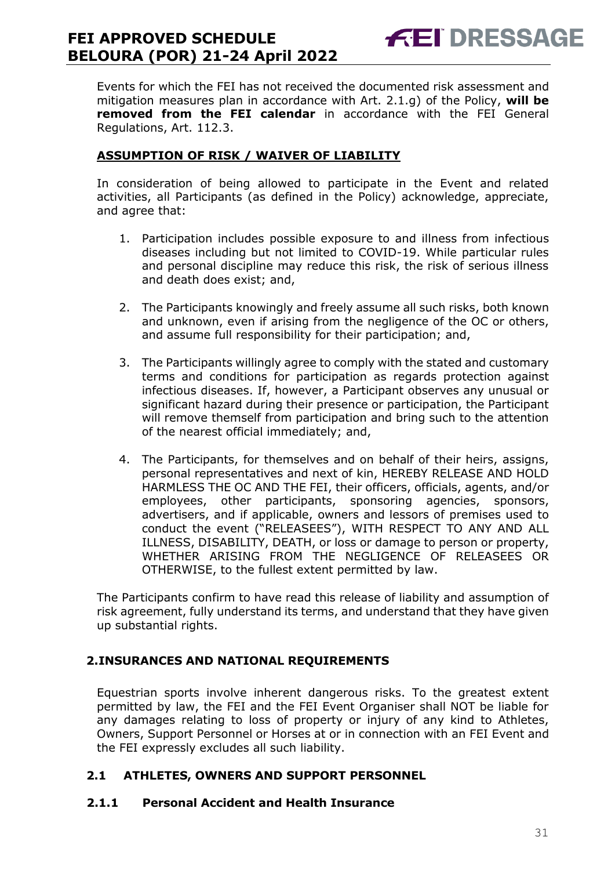Events for which the FEI has not received the documented risk assessment and mitigation measures plan in accordance with Art. 2.1.g) of the Policy, **will be removed from the FEI calendar** in accordance with the FEI General Regulations, Art. 112.3.

**FEI DRESSAGE** 

### **ASSUMPTION OF RISK / WAIVER OF LIABILITY**

In consideration of being allowed to participate in the Event and related activities, all Participants (as defined in the Policy) acknowledge, appreciate, and agree that:

- 1. Participation includes possible exposure to and illness from infectious diseases including but not limited to COVID-19. While particular rules and personal discipline may reduce this risk, the risk of serious illness and death does exist; and,
- 2. The Participants knowingly and freely assume all such risks, both known and unknown, even if arising from the negligence of the OC or others, and assume full responsibility for their participation; and,
- 3. The Participants willingly agree to comply with the stated and customary terms and conditions for participation as regards protection against infectious diseases. If, however, a Participant observes any unusual or significant hazard during their presence or participation, the Participant will remove themself from participation and bring such to the attention of the nearest official immediately; and,
- 4. The Participants, for themselves and on behalf of their heirs, assigns, personal representatives and next of kin, HEREBY RELEASE AND HOLD HARMLESS THE OC AND THE FEI, their officers, officials, agents, and/or employees, other participants, sponsoring agencies, sponsors, advertisers, and if applicable, owners and lessors of premises used to conduct the event ("RELEASEES"), WITH RESPECT TO ANY AND ALL ILLNESS, DISABILITY, DEATH, or loss or damage to person or property, WHETHER ARISING FROM THE NEGLIGENCE OF RELEASEES OR OTHERWISE, to the fullest extent permitted by law.

The Participants confirm to have read this release of liability and assumption of risk agreement, fully understand its terms, and understand that they have given up substantial rights.

### <span id="page-30-0"></span>**2.INSURANCES AND NATIONAL REQUIREMENTS**

Equestrian sports involve inherent dangerous risks. To the greatest extent permitted by law, the FEI and the FEI Event Organiser shall NOT be liable for any damages relating to loss of property or injury of any kind to Athletes, Owners, Support Personnel or Horses at or in connection with an FEI Event and the FEI expressly excludes all such liability.

### **2.1 ATHLETES, OWNERS AND SUPPORT PERSONNEL**

#### **2.1.1 Personal Accident and Health Insurance**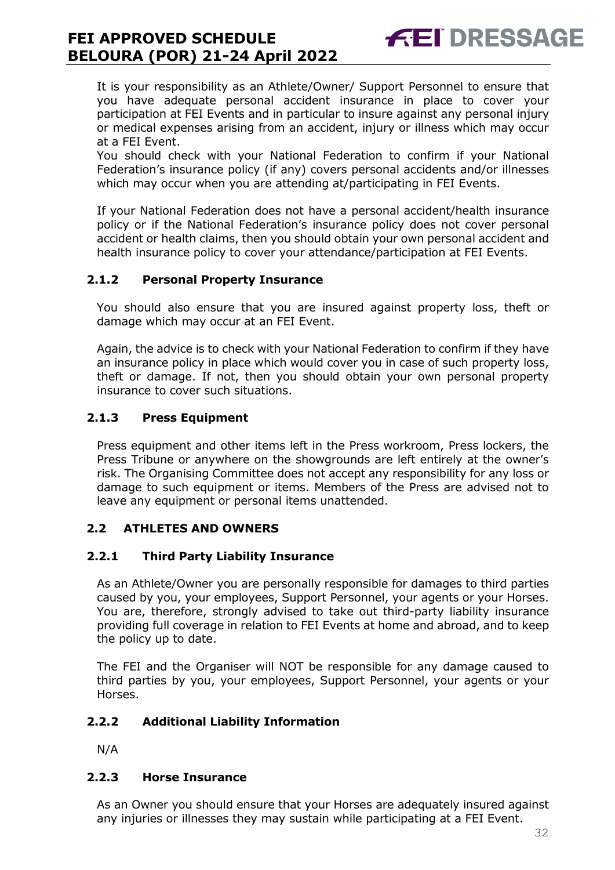It is your responsibility as an Athlete/Owner/ Support Personnel to ensure that you have adequate personal accident insurance in place to cover your participation at FEI Events and in particular to insure against any personal injury or medical expenses arising from an accident, injury or illness which may occur at a FEI Event.

**FEI DRESSAGE** 

You should check with your National Federation to confirm if your National Federation's insurance policy (if any) covers personal accidents and/or illnesses which may occur when you are attending at/participating in FEI Events.

If your National Federation does not have a personal accident/health insurance policy or if the National Federation's insurance policy does not cover personal accident or health claims, then you should obtain your own personal accident and health insurance policy to cover your attendance/participation at FEI Events.

### **2.1.2 Personal Property Insurance**

You should also ensure that you are insured against property loss, theft or damage which may occur at an FEI Event.

Again, the advice is to check with your National Federation to confirm if they have an insurance policy in place which would cover you in case of such property loss, theft or damage. If not, then you should obtain your own personal property insurance to cover such situations.

### **2.1.3 Press Equipment**

Press equipment and other items left in the Press workroom, Press lockers, the Press Tribune or anywhere on the showgrounds are left entirely at the owner's risk. The Organising Committee does not accept any responsibility for any loss or damage to such equipment or items. Members of the Press are advised not to leave any equipment or personal items unattended.

### **2.2 ATHLETES AND OWNERS**

### **2.2.1 Third Party Liability Insurance**

As an Athlete/Owner you are personally responsible for damages to third parties caused by you, your employees, Support Personnel, your agents or your Horses. You are, therefore, strongly advised to take out third-party liability insurance providing full coverage in relation to FEI Events at home and abroad, and to keep the policy up to date.

The FEI and the Organiser will NOT be responsible for any damage caused to third parties by you, your employees, Support Personnel, your agents or your Horses.

### **2.2.2 Additional Liability Information**

N/A

### **2.2.3 Horse Insurance**

As an Owner you should ensure that your Horses are adequately insured against any injuries or illnesses they may sustain while participating at a FEI Event.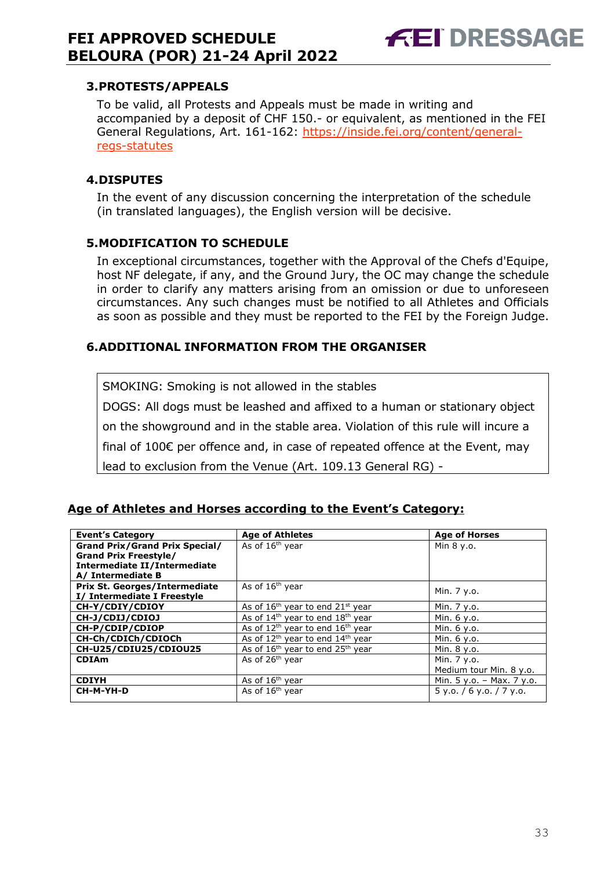# **FEI DRESSAGE**

### <span id="page-32-0"></span>**3.PROTESTS/APPEALS**

To be valid, all Protests and Appeals must be made in writing and accompanied by a deposit of CHF 150.- or equivalent, as mentioned in the FEI General Regulations, Art. 161-162: [https://inside.fei.org/content/general](https://inside.fei.org/content/general-regs-statutes)[regs-statutes](https://inside.fei.org/content/general-regs-statutes)

#### <span id="page-32-1"></span>**4.DISPUTES**

In the event of any discussion concerning the interpretation of the schedule (in translated languages), the English version will be decisive.

#### <span id="page-32-2"></span>**5.MODIFICATION TO SCHEDULE**

In exceptional circumstances, together with the Approval of the Chefs d'Equipe, host NF delegate, if any, and the Ground Jury, the OC may change the schedule in order to clarify any matters arising from an omission or due to unforeseen circumstances. Any such changes must be notified to all Athletes and Officials as soon as possible and they must be reported to the FEI by the Foreign Judge.

#### <span id="page-32-3"></span>**6.ADDITIONAL INFORMATION FROM THE ORGANISER**

SMOKING: Smoking is not allowed in the stables

DOGS: All dogs must be leashed and affixed to a human or stationary object

on the showground and in the stable area. Violation of this rule will incure a

final of 100€ per offence and, in case of repeated offence at the Event, may

lead to exclusion from the Venue (Art. 109.13 General RG) -

#### **Age of Athletes and Horses according to the Event's Category:**

| <b>Event's Category</b>               | <b>Age of Athletes</b>                                   | <b>Age of Horses</b>      |
|---------------------------------------|----------------------------------------------------------|---------------------------|
| <b>Grand Prix/Grand Prix Special/</b> | As of 16 <sup>th</sup> year                              | Min 8 y.o.                |
| <b>Grand Prix Freestyle/</b>          |                                                          |                           |
| <b>Intermediate II/Intermediate</b>   |                                                          |                           |
| A/ Intermediate B                     |                                                          |                           |
| <b>Prix St. Georges/Intermediate</b>  | As of 16 <sup>th</sup> year                              |                           |
| I/ Intermediate I Freestyle           |                                                          | Min. 7 y.o.               |
| CH-Y/CDIY/CDIOY                       | As of $16th$ year to end $21st$ year                     | Min. 7 y.o.               |
| CH-J/CDIJ/CDIOJ                       | As of 14 <sup>th</sup> year to end 18 <sup>th</sup> year | Min. 6 y.o.               |
| CH-P/CDIP/CDIOP                       | As of $12th$ year to end $16th$ year                     | Min. 6 y.o.               |
| CH-Ch/CDICh/CDIOCh                    | As of 12 <sup>th</sup> year to end 14 <sup>th</sup> year | Min. 6 y.o.               |
| CH-U25/CDIU25/CDIOU25                 | As of $16th$ year to end $25th$ year                     | Min. 8 y.o.               |
| <b>CDIAm</b>                          | As of 26 <sup>th</sup> year                              | Min. 7 y.o.               |
|                                       |                                                          | Medium tour Min. 8 y.o.   |
| <b>CDIYH</b>                          | As of $16th$ year                                        | Min. 5 y.o. - Max. 7 y.o. |
| CH-M-YH-D                             | As of $16th$ year                                        | 5 y.o. / 6 y.o. / 7 y.o.  |
|                                       |                                                          |                           |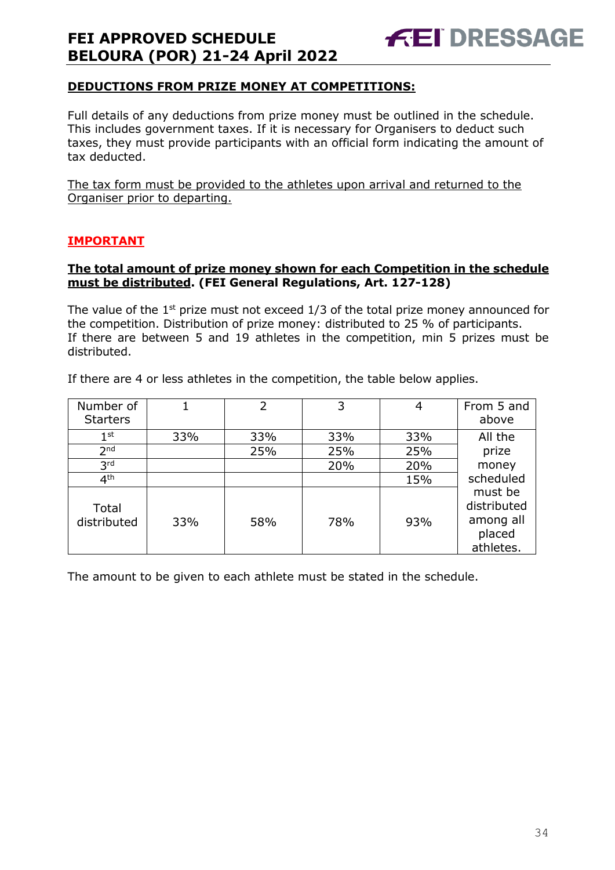

### **DEDUCTIONS FROM PRIZE MONEY AT COMPETITIONS:**

Full details of any deductions from prize money must be outlined in the schedule. This includes government taxes. If it is necessary for Organisers to deduct such taxes, they must provide participants with an official form indicating the amount of tax deducted.

The tax form must be provided to the athletes upon arrival and returned to the Organiser prior to departing.

#### **IMPORTANT**

#### **The total amount of prize money shown for each Competition in the schedule must be distributed. (FEI General Regulations, Art. 127-128)**

The value of the  $1<sup>st</sup>$  prize must not exceed  $1/3$  of the total prize money announced for the competition. Distribution of prize money: distributed to 25 % of participants. If there are between 5 and 19 athletes in the competition, min 5 prizes must be distributed.

| Number of            | 1   | 2   | 3   | 4   | From 5 and                                                 |
|----------------------|-----|-----|-----|-----|------------------------------------------------------------|
| <b>Starters</b>      |     |     |     |     | above                                                      |
| $1^{\rm st}$         | 33% | 33% | 33% | 33% | All the                                                    |
| 2 <sub>nd</sub>      |     | 25% | 25% | 25% | prize                                                      |
| 3 <sup>rd</sup>      |     |     | 20% | 20% | money                                                      |
| 4 <sup>th</sup>      |     |     |     | 15% | scheduled                                                  |
| Total<br>distributed | 33% | 58% | 78% | 93% | must be<br>distributed<br>among all<br>placed<br>athletes. |

If there are 4 or less athletes in the competition, the table below applies.

The amount to be given to each athlete must be stated in the schedule.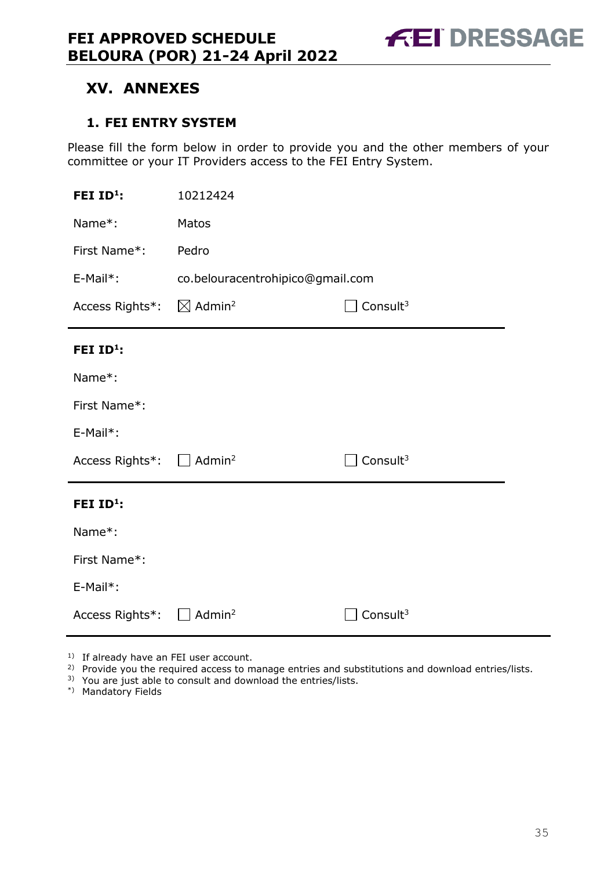# <span id="page-34-0"></span>**XV. ANNEXES**

### <span id="page-34-1"></span>**1. FEI ENTRY SYSTEM**

Please fill the form below in order to provide you and the other members of your committee or your IT Providers access to the FEI Entry System.

| FEI ID <sup>1</sup> :                             | 10212424                         |             |  |  |
|---------------------------------------------------|----------------------------------|-------------|--|--|
| Name*:                                            | Matos                            |             |  |  |
| First Name*:                                      | Pedro                            |             |  |  |
| E-Mail*:                                          | co.belouracentrohipico@gmail.com |             |  |  |
| Access Rights*: $\boxtimes$ Admin <sup>2</sup>    | Consult <sup>3</sup>             |             |  |  |
| FEI ID <sup>1</sup> :                             |                                  |             |  |  |
| Name*:                                            |                                  |             |  |  |
| First Name*:                                      |                                  |             |  |  |
| E-Mail*:                                          |                                  |             |  |  |
| Access Rights <sup>*</sup> : □ Admin <sup>2</sup> |                                  | Consult $3$ |  |  |
| FEI ID <sup>1</sup> :                             |                                  |             |  |  |
| Name*:                                            |                                  |             |  |  |
| First Name*:                                      |                                  |             |  |  |
| E-Mail*:                                          |                                  |             |  |  |
| Access Rights*:                                   | Admin <sup>2</sup>               | Consult $3$ |  |  |

<sup>1)</sup> If already have an FEI user account.

- <sup>2)</sup> Provide you the required access to manage entries and substitutions and download entries/lists.
- 3) You are just able to consult and download the entries/lists.
- \*) Mandatory Fields